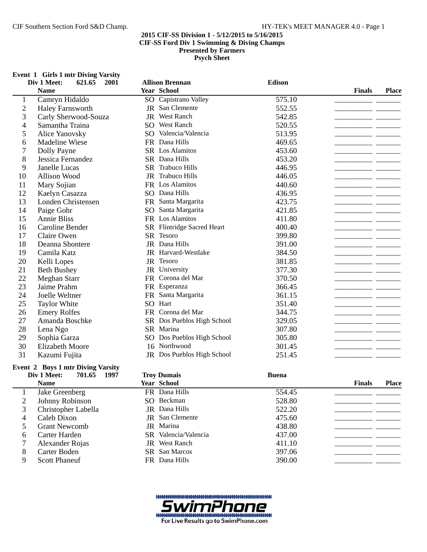# **Event 1 Girls 1 mtr Diving Varsity**

|                | Div 1 Meet:<br>2001<br>621.65            | <b>Allison Brennan</b>             | <b>Edison</b> |                               |
|----------------|------------------------------------------|------------------------------------|---------------|-------------------------------|
|                | <b>Name</b>                              | <b>Year School</b>                 |               | <b>Place</b><br><b>Finals</b> |
| 1              | Camryn Hidaldo                           | SO Capistrano Valley               | 575.10        |                               |
| $\overline{2}$ | <b>Haley Farnsworth</b>                  | San Clemente<br>JR                 | 552.55        |                               |
| 3              | Carly Sherwood-Souza                     | <b>West Ranch</b><br>JR            | 542.85        |                               |
| 4              | Samantha Traina                          | SO West Ranch                      | 520.55        |                               |
| 5              | <b>Alice Yanovsky</b>                    | SO Valencia/Valencia               | 513.95        |                               |
| 6              | <b>Madeline Wiese</b>                    | FR Dana Hills                      | 469.65        |                               |
| 7              | Dolly Payne                              | SR Los Alamitos                    | 453.60        |                               |
| 8              | Jessica Fernandez                        | SR Dana Hills                      | 453.20        |                               |
| 9              | Janelle Lucas                            | SR Trabuco Hills                   | 446.95        |                               |
| 10             | Allison Wood                             | JR Trabuco Hills                   | 446.05        |                               |
| 11             | Mary Sojian                              | FR Los Alamitos                    | 440.60        |                               |
| 12             | Kaelyn Casazza                           | SO Dana Hills                      | 436.95        |                               |
| 13             | Londen Christensen                       | Santa Margarita<br><b>FR</b>       | 423.75        |                               |
| 14             | Paige Gohr                               | Santa Margarita<br>SO <sub>1</sub> | 421.85        |                               |
| 15             | <b>Annie Bliss</b>                       | FR Los Alamitos                    | 411.80        |                               |
| 16             | Caroline Bender                          | SR Flintridge Sacred Heart         | 400.40        |                               |
| 17             | Claire Owen                              | Tesoro<br>SR.                      | 399.80        |                               |
| 18             | Deanna Shontere                          | JR Dana Hills                      | 391.00        |                               |
| 19             | Camila Katz                              | JR Harvard-Westlake                | 384.50        |                               |
| 20             | Kelli Lopes                              | JR Tesoro                          | 381.85        |                               |
| 21             | <b>Beth Bushey</b>                       | University<br>JR                   | 377.30        |                               |
| 22             | Meghan Starr                             | Corona del Mar<br><b>FR</b>        | 370.50        |                               |
| 23             | Jaime Prahm                              | FR Esperanza                       | 366.45        |                               |
| 24             | Joelle Weltner                           | Santa Margarita<br>FR.             | 361.15        |                               |
| 25             | <b>Taylor White</b>                      | SO Hart                            | 351.40        |                               |
| 26             | <b>Emery Rolfes</b>                      | FR Corona del Mar                  | 344.75        |                               |
| 27             | Amanda Boschke                           | SR Dos Pueblos High School         | 329.05        |                               |
| 28             | Lena Ngo                                 | SR Marina                          | 307.80        |                               |
| 29             | Sophia Garza                             | SO Dos Pueblos High School         | 305.80        |                               |
| 30             | <b>Elizabeth Moore</b>                   | 16 Northwood                       | 301.45        |                               |
| 31             | Kazumi Fujita                            | JR Dos Pueblos High School         | 251.45        |                               |
|                | <b>Event 2 Boys 1 mtr Diving Varsity</b> |                                    |               |                               |

|   | Div 1 Meet:<br>1997<br>701.65 | <b>Troy Dumais</b>     | <b>Buena</b> |                               |
|---|-------------------------------|------------------------|--------------|-------------------------------|
|   | <b>Name</b>                   | <b>Year School</b>     |              | <b>Finals</b><br><b>Place</b> |
|   | Jake Greenberg                | FR Dana Hills          | 554.45       |                               |
|   | Johnny Robinson               | SO Beckman             | 528.80       |                               |
|   | Christopher Labella           | JR Dana Hills          | 522.20       |                               |
| 4 | Caleb Dixon                   | <b>JR</b> San Clemente | 475.60       |                               |
|   | <b>Grant Newcomb</b>          | <b>JR</b> Marina       | 438.80       |                               |
| 6 | Carter Harden                 | SR Valencia/Valencia   | 437.00       |                               |
|   | Alexander Rojas               | <b>JR</b> West Ranch   | 411.10       |                               |
| 8 | Carter Boden                  | <b>SR</b> San Marcos   | 397.06       |                               |
| 9 | <b>Scott Phaneuf</b>          | FR Dana Hills          | 390.00       |                               |

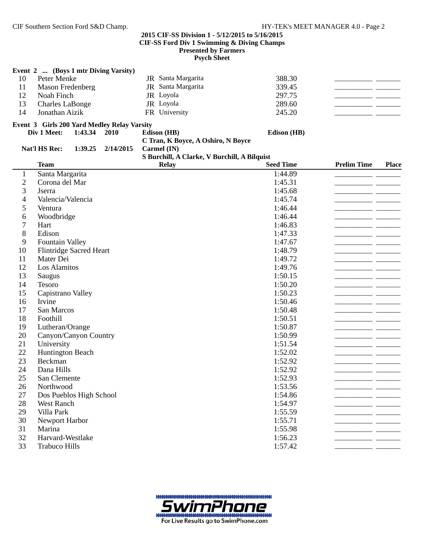|                          | Event 2  (Boys 1 mtr Diving Varsity)        |                                              |                  |                    |              |
|--------------------------|---------------------------------------------|----------------------------------------------|------------------|--------------------|--------------|
| 10                       | Peter Menke                                 | JR Santa Margarita                           | 388.30           |                    |              |
| 11                       | Mason Fredenberg                            | JR Santa Margarita                           | 339.45           |                    |              |
| 12                       | Noah Finch                                  | JR Loyola                                    | 297.75           |                    |              |
| 13                       | <b>Charles LaBonge</b>                      | JR Loyola                                    | 289.60           |                    |              |
| 14                       | Jonathan Aizik                              | FR University                                | 245.20           |                    |              |
|                          | Event 3 Girls 200 Yard Medley Relay Varsity |                                              |                  |                    |              |
|                          | 1:43.34<br>2010<br>Div 1 Meet:              | Edison (HB)                                  | Edison (HB)      |                    |              |
|                          |                                             | C Tran, K Boyce, A Oshiro, N Boyce           |                  |                    |              |
|                          | Nat'l HS Rec:<br>1:39.25<br>2/14/2015       | Carmel (IN)                                  |                  |                    |              |
|                          |                                             | S Burchill, A Clarke, V Burchill, A Bilquist |                  |                    |              |
|                          | <b>Team</b>                                 | <b>Relay</b>                                 | <b>Seed Time</b> | <b>Prelim Time</b> | <b>Place</b> |
| $\mathbf{1}$             | Santa Margarita                             |                                              | 1:44.89          |                    |              |
| $\boldsymbol{2}$         | Corona del Mar                              |                                              | 1:45.31          |                    |              |
| 3                        | Jserra                                      |                                              | 1:45.68          |                    |              |
| $\overline{\mathcal{A}}$ | Valencia/Valencia                           |                                              | 1:45.74          |                    |              |
| 5                        | Ventura                                     |                                              | 1:46.44          |                    |              |
| 6                        | Woodbridge                                  |                                              | 1:46.44          |                    |              |
| $\boldsymbol{7}$         | Hart                                        |                                              | 1:46.83          |                    |              |
| 8                        | Edison                                      |                                              | 1:47.33          |                    |              |
| 9                        | <b>Fountain Valley</b>                      |                                              | 1:47.67          |                    |              |
| 10                       | <b>Flintridge Sacred Heart</b>              |                                              | 1:48.79          |                    |              |
| 11                       | Mater Dei                                   |                                              | 1:49.72          |                    |              |
| 12                       | Los Alamitos                                |                                              | 1:49.76          |                    |              |
| 13                       | Saugus                                      |                                              | 1:50.15          |                    |              |
| 14                       | Tesoro                                      |                                              | 1:50.20          |                    |              |
| 15                       | Capistrano Valley                           |                                              | 1:50.23          |                    |              |
| 16                       | Irvine                                      |                                              | 1:50.46          |                    |              |
| 17                       | San Marcos                                  |                                              | 1:50.48          |                    |              |
| 18                       | Foothill                                    |                                              | 1:50.51          |                    |              |
| 19                       | Lutheran/Orange                             |                                              | 1:50.87          |                    |              |
| 20                       | Canyon/Canyon Country                       |                                              | 1:50.99          |                    |              |
| 21                       | University                                  |                                              | 1:51.54          |                    |              |
| 22                       | <b>Huntington Beach</b>                     |                                              | 1:52.02          |                    |              |
| 23                       | Beckman                                     |                                              | 1:52.92          |                    |              |
| 24                       | Dana Hills                                  |                                              | 1:52.92          |                    |              |
| 25                       | San Clemente                                |                                              | 1:52.93          |                    |              |
| 26                       | Northwood                                   |                                              | 1:53.56          |                    |              |
| 27                       | Dos Pueblos High School                     |                                              | 1:54.86          |                    |              |
| 28                       | West Ranch                                  |                                              | 1:54.97          |                    |              |
| 29                       | Villa Park                                  |                                              | 1:55.59          |                    |              |
| 30                       | Newport Harbor                              |                                              | 1:55.71          |                    |              |
| 31                       | Marina                                      |                                              | 1:55.98          |                    |              |
| 32                       | Harvard-Westlake                            |                                              | 1:56.23          |                    |              |
| 33                       | <b>Trabuco Hills</b>                        |                                              | 1:57.42          |                    |              |

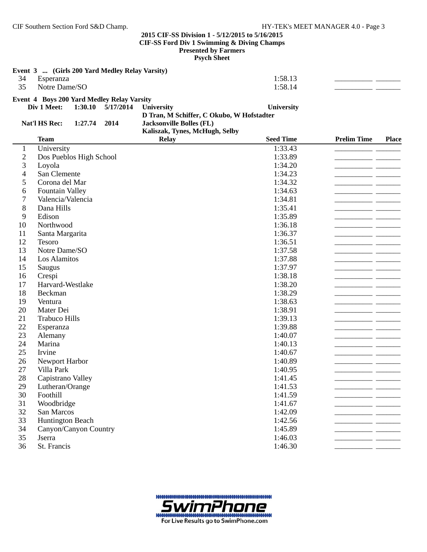**Psych Sheet**

|     | Event 3  (Girls 200 Yard Medley Relay Varsity)                                                         |         |  |
|-----|--------------------------------------------------------------------------------------------------------|---------|--|
| -34 | Esperanza                                                                                              | 1:58.13 |  |
| 35  | Notre Dame/SO                                                                                          | 1:58.14 |  |
|     | $\mathbf{E}$ and $\mathbf{A}$ and $\mathbf{E}$ is the $\mathbf{E}$ in $\mathbf{E}$ is the $\mathbf{E}$ |         |  |

#### **Event 4 Boys 200 Yard Medley Relay Varsity Div 1 Meet:** 1:30.10 5/17/2014 **University 5/17/2014 University**

**D Tran, M Schiffer, C Okubo, W Hofstadter**

**Kaliszak, Tynes, McHugh, Selby**

|               |                | 2.444                               |
|---------------|----------------|-------------------------------------|
| Nat'l HS Rec: | $1:27.74$ 2014 | <b>Jacksonville Bolles (FL)</b>     |
|               |                | <b><i>Voltanoly Tymes MoHua</i></b> |

|                | <b>Team</b>             | <b>Relay</b> | <b>Seed Time</b> | <b>Prelim Time</b> | <b>Place</b> |
|----------------|-------------------------|--------------|------------------|--------------------|--------------|
| $\mathbf{1}$   | University              |              | 1:33.43          |                    |              |
| $\overline{c}$ | Dos Pueblos High School |              | 1:33.89          |                    |              |
| 3              | Loyola                  |              | 1:34.20          |                    |              |
| 4              | San Clemente            |              | 1:34.23          |                    |              |
| 5              | Corona del Mar          |              | 1:34.32          |                    |              |
| 6              | Fountain Valley         |              | 1:34.63          |                    |              |
| 7              | Valencia/Valencia       |              | 1:34.81          |                    |              |
| 8              | Dana Hills              |              | 1:35.41          |                    |              |
| 9              | Edison                  |              | 1:35.89          |                    |              |
| 10             | Northwood               |              | 1:36.18          |                    |              |
| 11             | Santa Margarita         |              | 1:36.37          |                    |              |
| 12             | Tesoro                  |              | 1:36.51          |                    |              |
| 13             | Notre Dame/SO           |              | 1:37.58          |                    |              |
| 14             | Los Alamitos            |              | 1:37.88          |                    |              |
| 15             | Saugus                  |              | 1:37.97          |                    |              |
| 16             | Crespi                  |              | 1:38.18          |                    |              |
| 17             | Harvard-Westlake        |              | 1:38.20          |                    |              |
| 18             | Beckman                 |              | 1:38.29          |                    |              |
| 19             | Ventura                 |              | 1:38.63          |                    |              |
| 20             | Mater Dei               |              | 1:38.91          |                    |              |
| 21             | <b>Trabuco Hills</b>    |              | 1:39.13          |                    |              |
| 22             | Esperanza               |              | 1:39.88          |                    |              |
| 23             | Alemany                 |              | 1:40.07          |                    |              |
| 24             | Marina                  |              | 1:40.13          |                    |              |
| 25             | Irvine                  |              | 1:40.67          |                    |              |
| 26             | Newport Harbor          |              | 1:40.89          |                    |              |
| 27             | Villa Park              |              | 1:40.95          |                    |              |
| 28             | Capistrano Valley       |              | 1:41.45          |                    |              |
| 29             | Lutheran/Orange         |              | 1:41.53          |                    |              |
| 30             | Foothill                |              | 1:41.59          |                    |              |
| 31             | Woodbridge              |              | 1:41.67          |                    |              |
| 32             | San Marcos              |              | 1:42.09          |                    |              |
| 33             | <b>Huntington Beach</b> |              | 1:42.56          |                    |              |
| 34             | Canyon/Canyon Country   |              | 1:45.89          |                    |              |
| 35             | Jserra                  |              | 1:46.03          |                    |              |
| 36             | St. Francis             |              | 1:46.30          |                    |              |

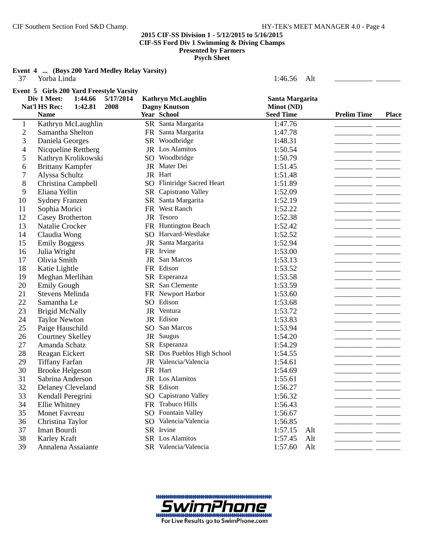**Event 4 ... (Boys 200 Yard Medley Relay Varsity)**

| 37                       | Yorba Linda                                                                                                         |                                                   | 1:46.56<br>Alt                |                                                                                                                                                                                                                                      |                                            |
|--------------------------|---------------------------------------------------------------------------------------------------------------------|---------------------------------------------------|-------------------------------|--------------------------------------------------------------------------------------------------------------------------------------------------------------------------------------------------------------------------------------|--------------------------------------------|
|                          | Event 5 Girls 200 Yard Freestyle Varsity<br>Div 1 Meet:<br>1:44.66<br>5/17/2014<br>Nat'l HS Rec:<br>1:42.81<br>2008 | <b>Kathryn McLaughlin</b><br><b>Dagny Knutson</b> | Santa Margarita<br>Minot (ND) |                                                                                                                                                                                                                                      |                                            |
|                          | <b>Name</b>                                                                                                         | Year School                                       | <b>Seed Time</b>              | <b>Prelim Time</b>                                                                                                                                                                                                                   | <b>Place</b>                               |
| $\mathbf{1}$             | Kathryn McLaughlin                                                                                                  | SR Santa Margarita                                | 1:47.76                       |                                                                                                                                                                                                                                      |                                            |
| $\overline{c}$           | Samantha Shelton                                                                                                    | FR Santa Margarita                                | 1:47.78                       |                                                                                                                                                                                                                                      |                                            |
| 3                        | Daniela Georges                                                                                                     | SR Woodbridge                                     | 1:48.31                       | - -                                                                                                                                                                                                                                  |                                            |
| $\overline{\mathcal{A}}$ | Nicqueline Rettberg                                                                                                 | JR Los Alamitos                                   | 1:50.54                       | - -                                                                                                                                                                                                                                  |                                            |
| 5                        | Kathryn Krolikowski                                                                                                 | SO Woodbridge                                     | 1:50.79                       |                                                                                                                                                                                                                                      |                                            |
| 6                        | <b>Brittany Kampfer</b>                                                                                             | JR Mater Dei                                      | 1:51.45                       |                                                                                                                                                                                                                                      | <b>Contract Contract Contract Contract</b> |
| $\boldsymbol{7}$         | Alyssa Schultz                                                                                                      | JR Hart                                           | 1:51.48                       |                                                                                                                                                                                                                                      |                                            |
| 8                        | Christina Campbell                                                                                                  | SO Flintridge Sacred Heart                        | 1:51.89                       |                                                                                                                                                                                                                                      |                                            |
| 9                        | Eliana Yellin                                                                                                       | SR Capistrano Valley                              | 1:52.09                       |                                                                                                                                                                                                                                      |                                            |
| 10                       | <b>Sydney Franzen</b>                                                                                               | SR Santa Margarita                                | 1:52.19                       |                                                                                                                                                                                                                                      |                                            |
| 11                       | Sophia Morici                                                                                                       | FR West Ranch                                     | 1:52.22                       |                                                                                                                                                                                                                                      |                                            |
| 12                       | Casey Brotherton                                                                                                    | JR Tesoro                                         | 1:52.38                       |                                                                                                                                                                                                                                      |                                            |
| 13                       | Natalie Crocker                                                                                                     | FR Huntington Beach                               | 1:52.42                       | ____                                                                                                                                                                                                                                 |                                            |
| 14                       | Claudia Wong                                                                                                        | SO Harvard-Westlake                               | 1:52.52                       |                                                                                                                                                                                                                                      |                                            |
| 15                       | <b>Emily Boggess</b>                                                                                                | JR Santa Margarita                                | 1:52.94                       |                                                                                                                                                                                                                                      |                                            |
| 16                       | Julia Wright                                                                                                        | FR Irvine                                         | 1:53.00                       |                                                                                                                                                                                                                                      |                                            |
| 17                       | Olivia Smith                                                                                                        | JR San Marcos                                     | 1:53.13                       |                                                                                                                                                                                                                                      |                                            |
| 18                       | Katie Lightle                                                                                                       | FR Edison                                         | 1:53.52                       |                                                                                                                                                                                                                                      |                                            |
| 19                       | Meghan Merlihan                                                                                                     | SR Esperanza                                      | 1:53.58                       |                                                                                                                                                                                                                                      |                                            |
| 20                       | <b>Emily Gough</b>                                                                                                  | SR San Clemente                                   | 1:53.59                       |                                                                                                                                                                                                                                      |                                            |
| 21                       | <b>Stevens Melinda</b>                                                                                              | FR Newport Harbor                                 | 1:53.60                       | -- -                                                                                                                                                                                                                                 |                                            |
| 22                       | Samantha Le                                                                                                         | SO Edison                                         | 1:53.68                       |                                                                                                                                                                                                                                      |                                            |
| 23                       | <b>Brigid McNally</b>                                                                                               | JR Ventura                                        | 1:53.72                       |                                                                                                                                                                                                                                      |                                            |
| 24                       | <b>Taylor Newton</b>                                                                                                | JR Edison                                         | 1:53.83                       |                                                                                                                                                                                                                                      |                                            |
| 25                       | Paige Hauschild                                                                                                     | SO San Marcos                                     | 1:53.94                       |                                                                                                                                                                                                                                      |                                            |
| 26                       | <b>Courtney Skelley</b>                                                                                             | JR Saugus                                         | 1:54.20                       | - -                                                                                                                                                                                                                                  |                                            |
| 27                       | Amanda Schatz                                                                                                       | SR Esperanza                                      | 1:54.29                       | __ __                                                                                                                                                                                                                                |                                            |
| 28                       | Reagan Eickert                                                                                                      | SR Dos Pueblos High School                        | 1:54.55                       | <u> The Communication of the Communication of the Communication of the Communication of the Communication of the Communication of the Communication of the Communication of the Communication of the Communication of the Commun</u> |                                            |
| 29                       | <b>Tiffany Farfan</b>                                                                                               | JR Valencia/Valencia                              | 1:54.61                       |                                                                                                                                                                                                                                      |                                            |
| 30                       | <b>Brooke Helgeson</b>                                                                                              | FR Hart                                           | 1:54.69                       |                                                                                                                                                                                                                                      |                                            |
| 31                       | Sabrina Anderson                                                                                                    | JR Los Alamitos                                   | 1:55.61                       |                                                                                                                                                                                                                                      |                                            |
| 32                       | Delaney Cleveland                                                                                                   | SR Edison                                         | 1:56.27                       |                                                                                                                                                                                                                                      |                                            |
| 33                       | Kendall Peregrini                                                                                                   | SO Capistrano Valley                              | 1:56.32                       |                                                                                                                                                                                                                                      |                                            |
| 34                       | Ellie Whitney                                                                                                       | FR Trabuco Hills                                  | 1:56.43                       |                                                                                                                                                                                                                                      |                                            |
| 35                       | Monet Favreau                                                                                                       | SO Fountain Valley                                | 1:56.67                       |                                                                                                                                                                                                                                      |                                            |
| 36                       | Christina Taylor                                                                                                    | SO Valencia/Valencia                              | 1:56.85                       |                                                                                                                                                                                                                                      |                                            |
| 37                       | Iman Bourdi                                                                                                         | SR Irvine                                         | 1:57.15<br>Alt                |                                                                                                                                                                                                                                      |                                            |
| 38                       | Karley Kraft                                                                                                        | SR Los Alamitos                                   | 1:57.45<br>Alt                |                                                                                                                                                                                                                                      |                                            |
| 39                       | Annalena Assaiante                                                                                                  | SR Valencia/Valencia                              | 1:57.60<br>Alt                |                                                                                                                                                                                                                                      |                                            |
|                          |                                                                                                                     |                                                   |                               |                                                                                                                                                                                                                                      |                                            |

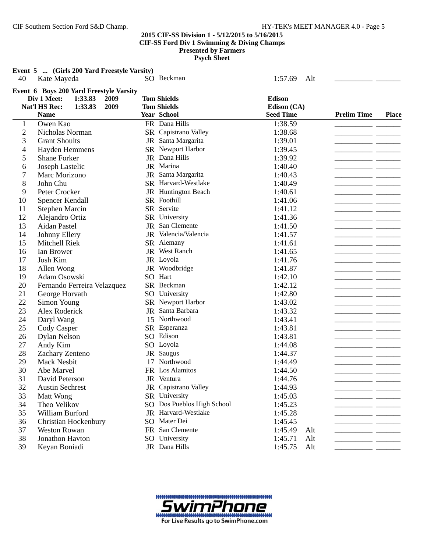**Event 5 ... (Girls 200 Yard Freestyle Varsity)**<br>40 Kate Maveda **SO Beckman** 

| 40             | Kate Mayeda                             | SO Beckman                 | 1:57.69<br>Alt   |                    |              |
|----------------|-----------------------------------------|----------------------------|------------------|--------------------|--------------|
|                | Event 6 Boys 200 Yard Freestyle Varsity |                            |                  |                    |              |
|                | Div 1 Meet:<br>1:33.83<br>2009          | <b>Tom Shields</b>         | <b>Edison</b>    |                    |              |
|                | Nat'l HS Rec:<br>2009<br>1:33.83        | <b>Tom Shields</b>         | Edison (CA)      |                    |              |
|                | <b>Name</b>                             | Year School                | <b>Seed Time</b> | <b>Prelim Time</b> | <b>Place</b> |
| $\mathbf{1}$   | Owen Kao                                | FR Dana Hills              | 1:38.59          |                    |              |
| $\overline{c}$ | Nicholas Norman                         | SR Capistrano Valley       | 1:38.68          |                    |              |
| 3              | <b>Grant Shoults</b>                    | JR Santa Margarita         | 1:39.01          |                    |              |
| $\overline{4}$ | Hayden Hemmens                          | SR Newport Harbor          | 1:39.45          |                    |              |
| 5              | <b>Shane Forker</b>                     | JR Dana Hills              | 1:39.92          |                    |              |
| 6              | Joseph Lastelic                         | JR Marina                  | 1:40.40          |                    |              |
| 7              | Marc Morizono                           | JR Santa Margarita         | 1:40.43          |                    |              |
| 8              | John Chu                                | SR Harvard-Westlake        | 1:40.49          |                    |              |
| 9              | Peter Crocker                           | JR Huntington Beach        | 1:40.61          |                    |              |
| 10             | Spencer Kendall                         | SR Foothill                | 1:41.06          |                    |              |
| 11             | <b>Stephen Marcin</b>                   | SR Servite                 | 1:41.12          |                    |              |
| 12             | Alejandro Ortiz                         | SR University              | 1:41.36          |                    |              |
| 13             | <b>Aidan Pastel</b>                     | JR San Clemente            | 1:41.50          |                    |              |
| 14             | Johnny Ellery                           | JR Valencia/Valencia       | 1:41.57          |                    |              |
| 15             | Mitchell Riek                           | SR Alemany                 | 1:41.61          |                    |              |
| 16             | Ian Brower                              | JR West Ranch              | 1:41.65          |                    |              |
| 17             | Josh Kim                                | JR Loyola                  | 1:41.76          |                    |              |
| 18             | Allen Wong                              | JR Woodbridge              | 1:41.87          |                    |              |
| 19             | Adam Osowski                            | SO Hart                    | 1:42.10          |                    |              |
| 20             | Fernando Ferreira Velazquez             | SR Beckman                 | 1:42.12          |                    |              |
| 21             | George Horvath                          | SO University              | 1:42.80          |                    |              |
| 22             | Simon Young                             | SR Newport Harbor          | 1:43.02          |                    |              |
| 23             | Alex Roderick                           | JR Santa Barbara           | 1:43.32          |                    |              |
| 24             | Daryl Wang                              | 15 Northwood               | 1:43.41          |                    |              |
| 25             | Cody Casper                             | SR Esperanza               | 1:43.81          |                    |              |
| 26             | Dylan Nelson                            | SO Edison                  | 1:43.81          |                    |              |
| 27             | Andy Kim                                | SO Loyola                  | 1:44.08          |                    |              |
| 28             | Zachary Zenteno                         | JR Saugus                  | 1:44.37          |                    |              |
| 29             | <b>Mack Nesbit</b>                      | 17 Northwood               | 1:44.49          |                    |              |
| 30             | Abe Marvel                              | FR Los Alamitos            | 1:44.50          |                    |              |
| 31             | David Peterson                          | JR Ventura                 | 1:44.76          |                    |              |
| 32             | <b>Austin Sechrest</b>                  | JR Capistrano Valley       | 1:44.93          |                    |              |
| 33             | Matt Wong                               | SR University              | 1:45.03          |                    |              |
| 34             | Theo Velikov                            | SO Dos Pueblos High School | 1:45.23          |                    |              |
| 35             | William Burford                         | JR Harvard-Westlake        | 1:45.28          |                    |              |
| 36             | Christian Hockenbury                    | SO Mater Dei               | 1:45.45          |                    |              |
| 37             | <b>Weston Rowan</b>                     | FR San Clemente            | 1:45.49<br>Alt   |                    |              |
| 38             | Jonathon Havton                         | SO University              | 1:45.71<br>Alt   |                    |              |
| 39             | Keyan Boniadi                           | JR Dana Hills              | 1:45.75<br>Alt   |                    |              |

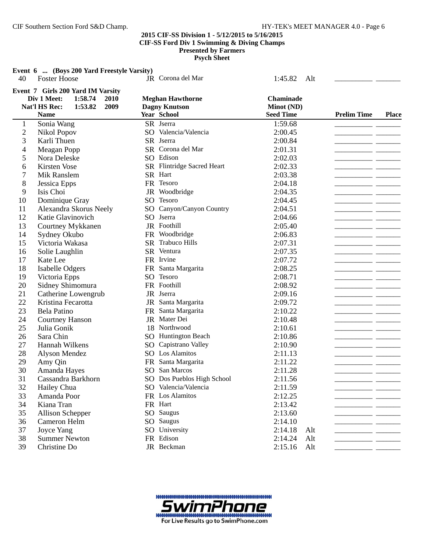**Event 6 ... (Boys 200 Yard Freestyle Varsity)**

| 40             | <b>Foster Hoose</b>                                                                                     | JR Corona del Mar                               | 1:45.82<br>Alt          |                    |                                            |
|----------------|---------------------------------------------------------------------------------------------------------|-------------------------------------------------|-------------------------|--------------------|--------------------------------------------|
|                | Event 7 Girls 200 Yard IM Varsity<br>Div 1 Meet:<br>1:58.74<br>2010<br>Nat'l HS Rec:<br>2009<br>1:53.82 | <b>Meghan Hawthorne</b><br><b>Dagny Knutson</b> | Chaminade<br>Minot (ND) |                    |                                            |
|                | <b>Name</b>                                                                                             | Year School                                     | <b>Seed Time</b>        | <b>Prelim Time</b> | <b>Place</b>                               |
| $\mathbf{1}$   | Sonia Wang                                                                                              | SR Jserra                                       | 1:59.68                 |                    |                                            |
| $\overline{c}$ | Nikol Popov                                                                                             | SO Valencia/Valencia                            | 2:00.45                 |                    |                                            |
| 3              | Karli Thuen                                                                                             | SR Jserra                                       | 2:00.84                 |                    |                                            |
| 4              | Meagan Popp                                                                                             | SR Corona del Mar                               | 2:01.31                 |                    | <b>Contract Contract Contract Contract</b> |
| 5              | Nora Deleske                                                                                            | SO Edison                                       | 2:02.03                 |                    |                                            |
| 6              | Kirsten Vose                                                                                            | SR Flintridge Sacred Heart                      | 2:02.33                 |                    |                                            |
| 7              | Mik Ranslem                                                                                             | SR Hart                                         | 2:03.38                 |                    |                                            |
| 8              | Jessica Epps                                                                                            | FR Tesoro                                       | 2:04.18                 |                    |                                            |
| 9              | Isis Choi                                                                                               | JR Woodbridge                                   | 2:04.35                 |                    |                                            |
| 10             | Dominique Gray                                                                                          | SO Tesoro                                       | 2:04.45                 |                    |                                            |
| 11             | Alexandra Skorus Neely                                                                                  | SO Canyon/Canyon Country                        | 2:04.51                 |                    |                                            |
| 12             | Katie Glavinovich                                                                                       | SO Jserra                                       | 2:04.66                 |                    | سيستبدآ                                    |
| 13             | Courtney Mykkanen                                                                                       | JR Foothill                                     | 2:05.40                 |                    |                                            |
| 14             | Sydney Okubo                                                                                            | FR Woodbridge                                   | 2:06.83                 |                    |                                            |
| 15             | Victoria Wakasa                                                                                         | SR Trabuco Hills                                | 2:07.31                 |                    |                                            |
| 16             | Solie Laughlin                                                                                          | SR Ventura                                      | 2:07.35                 |                    |                                            |
| 17             | Kate Lee                                                                                                | FR Irvine                                       | 2:07.72                 |                    |                                            |
| 18             | Isabelle Odgers                                                                                         | FR Santa Margarita                              | 2:08.25                 |                    |                                            |
| 19             | Victoria Epps                                                                                           | SO Tesoro                                       | 2:08.71                 |                    |                                            |
| 20             | Sidney Shimomura                                                                                        | FR Foothill                                     | 2:08.92                 |                    |                                            |
| 21             | Catherine Lowengrub                                                                                     | JR Jserra                                       | 2:09.16                 |                    |                                            |
| 22             | Kristina Fecarotta                                                                                      | Santa Margarita<br>JR                           | 2:09.72                 |                    |                                            |
| 23             | Bela Patino                                                                                             | Santa Margarita<br><b>FR</b>                    | 2:10.22                 |                    |                                            |
| 24             | <b>Courtney Hanson</b>                                                                                  | JR Mater Dei                                    | 2:10.48                 |                    |                                            |
| 25             | Julia Gonik                                                                                             | 18 Northwood                                    | 2:10.61                 |                    |                                            |
| 26             | Sara Chin                                                                                               | <b>SO</b> Huntington Beach                      | 2:10.86                 |                    |                                            |
| 27             | Hannah Wilkens                                                                                          | Capistrano Valley<br>SO                         | 2:10.90                 | - -                |                                            |
| 28             | Alyson Mendez                                                                                           | SO Los Alamitos                                 | 2:11.13                 |                    |                                            |
| 29             | Amy Qin                                                                                                 | FR Santa Margarita                              | 2:11.22                 | - -                |                                            |
| 30             | Amanda Hayes                                                                                            | SO San Marcos                                   | 2:11.28                 |                    |                                            |
| 31             | Cassandra Barkhorn                                                                                      | SO Dos Pueblos High School                      | 2:11.56                 | $\sim$             |                                            |
| 32             | Hailey Chua                                                                                             | SO Valencia/Valencia                            | 2:11.59                 |                    |                                            |
| 33             | Amanda Poor                                                                                             | FR Los Alamitos                                 | 2:12.25                 |                    |                                            |
| 34             | Kiana Tran                                                                                              | FR Hart                                         | 2:13.42                 |                    |                                            |
| 35             | <b>Allison Schepper</b>                                                                                 | SO Saugus                                       | 2:13.60                 |                    |                                            |
| 36             | Cameron Helm                                                                                            | SO Saugus                                       | 2:14.10                 |                    |                                            |
| 37             | Joyce Yang                                                                                              | SO University                                   | 2:14.18<br>Alt          |                    |                                            |
| 38             | <b>Summer Newton</b>                                                                                    | FR Edison                                       | 2:14.24<br>Alt          |                    |                                            |
| 39             | Christine Do                                                                                            | JR Beckman                                      | 2:15.16<br>Alt          |                    |                                            |

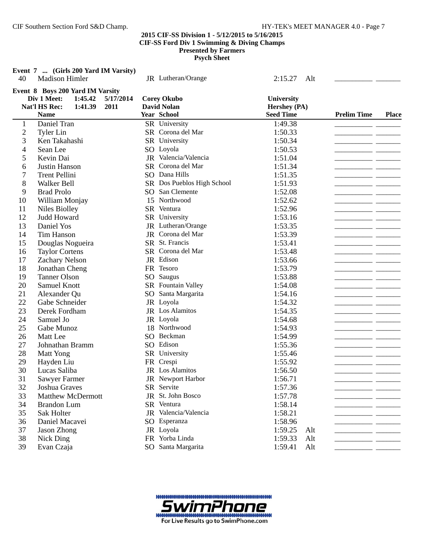**Event 7 ... (Girls 200 Yard IM Varsity)** 40 Madison Himler JR Lutheran/Orange 2:15.27 Alt **Event 8 Boys 200 Yard IM Varsity Div 1 Meet:** 1:45.42 5/17/2014 Corey Okubo **University Nat'l HS Rec: 1:41.39 David Nolan Hershey (PA) 2011 Name Year School Place Seed Time Prelim Time** Daniel Tran SR University 1:49.38 \_\_\_\_\_\_\_\_\_\_\_ \_\_\_\_\_\_\_ Tyler Lin SR Corona del Mar 1:50.33 \_\_\_\_\_\_\_\_\_\_\_ \_\_\_\_\_\_\_ Ken Takahashi SR University 1:50.34 \_\_\_\_\_\_\_\_\_\_\_ \_\_\_\_\_\_\_ Sean Lee SO Loyola 1:50.53 \_\_\_\_\_\_\_\_\_\_\_ \_\_\_\_\_\_\_ Kevin Dai JR Valencia/Valencia 1:51.04 \_\_\_\_\_\_\_\_\_\_\_ \_\_\_\_\_\_\_ Justin Hanson SR Corona del Mar 1:51.34 \_\_\_\_\_\_\_\_\_\_\_ \_\_\_\_\_\_\_ 7 Trent Pellini SO Dana Hills 1:51.35 Trent Pellini 8 Walker Bell SR Dos Pueblos High School 1:51.93 \_\_\_\_\_\_\_\_\_\_\_\_\_\_\_\_\_\_\_\_\_\_\_\_\_\_\_\_\_\_\_ Brad Prolo SO San Clemente 1:52.08 \_\_\_\_\_\_\_\_\_\_\_ \_\_\_\_\_\_\_ 10 William Monjay 15 Northwood 1:52.62<br>11 Niles Biolley SR Ventura 1:52.96 Niles Biolley SR Ventura 1:52.96 \_\_\_\_\_\_\_\_\_\_\_ \_\_\_\_\_\_\_ 12 Judd Howard SR University 1:53.16 \_\_\_\_\_\_\_\_\_\_\_ \_\_ 13 Daniel Yos JR Lutheran/Orange 1:53.35 14 Tim Hanson JR Corona del Mar 1:53.39 \_\_\_\_\_\_\_\_\_\_\_ Douglas Nogueira SR St. Francis 1:53.41 \_\_\_\_\_\_\_\_\_\_\_ \_\_\_\_\_\_\_ Taylor Cortens SR Corona del Mar 1:53.48 \_\_\_\_\_\_\_\_\_\_\_ \_\_\_\_\_\_\_ Zachary Nelson JR Edison 1:53.66 \_\_\_\_\_\_\_\_\_\_\_ \_\_\_\_\_\_\_ Jonathan Cheng FR Tesoro 1:53.79 \_\_\_\_\_\_\_\_\_\_\_ \_\_\_\_\_\_\_ 19 Tanner Olson SO Saugus 1:53.88 1:53.88 20 Samuel Knott SR Fountain Valley 1:54.08 Alexander Qu SO Santa Margarita 1:54.16 \_\_\_\_\_\_\_\_\_\_\_ \_\_\_\_\_\_\_ Gabe Schneider JR Loyola 1:54.32 \_\_\_\_\_\_\_\_\_\_\_ \_\_\_\_\_\_\_ 23 Derek Fordham JR Los Alamitos 1:54.35 Samuel Jo JR Loyola 1:54.68 \_\_\_\_\_\_\_\_\_\_\_ \_\_\_\_\_\_\_ Gabe Munoz 18 Northwood 1:54.93 \_\_\_\_\_\_\_\_\_\_\_ \_\_\_\_\_\_\_ Matt Lee SO Beckman 1:54.99 \_\_\_\_\_\_\_\_\_\_\_ \_\_\_\_\_\_\_ Johnathan Bramm SO Edison 1:55.36 \_\_\_\_\_\_\_\_\_\_\_ \_\_\_\_\_\_\_ Matt Yong SR University 1:55.46 \_\_\_\_\_\_\_\_\_\_\_ \_\_\_\_\_\_\_ Hayden Liu FR Crespi 1:55.92 \_\_\_\_\_\_\_\_\_\_\_ \_\_\_\_\_\_\_ Lucas Saliba JR Los Alamitos 1:56.50 \_\_\_\_\_\_\_\_\_\_\_ \_\_\_\_\_\_\_ Sawyer Farmer JR Newport Harbor 1:56.71 \_\_\_\_\_\_\_\_\_\_\_ \_\_\_\_\_\_\_ Joshua Graves SR Servite 1:57.36 \_\_\_\_\_\_\_\_\_\_\_ \_\_\_\_\_\_\_ 33 Matthew McDermott JR St. John Bosco 1:57.78 Brandon Lum SR Ventura 1:58.14 \_\_\_\_\_\_\_\_\_\_\_ \_\_\_\_\_\_\_ Sak Holter JR Valencia/Valencia 1:58.21 \_\_\_\_\_\_\_\_\_\_\_ \_\_\_\_\_\_\_ Daniel Macavei SO Esperanza 1:58.96 \_\_\_\_\_\_\_\_\_\_\_ \_\_\_\_\_\_\_ Jason Zhong  $38$  Jason Zhong  $37$  Jason Zhong  $37$  Jason Zhong  $37$  Jason Zhong  $38$ 

- 
- 38 Nick Ding FR Yorba Linda 1:59.33 Alt \_\_\_\_\_\_\_\_\_\_\_ \_\_\_\_\_\_\_
- 39 Evan Czaja SO Santa Margarita 1:59.41 Alt \_\_\_\_\_\_\_\_\_\_\_ \_\_\_\_\_\_\_

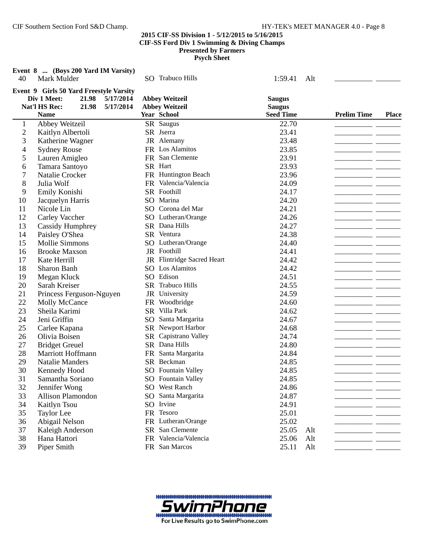| 40             | Event 8  (Boys 200 Yard IM Varsity)<br>Mark Mulder                                                                                 | <b>SO</b> Trabuco Hills                                              | 1:59.41<br>Alt                                     |                                    |
|----------------|------------------------------------------------------------------------------------------------------------------------------------|----------------------------------------------------------------------|----------------------------------------------------|------------------------------------|
|                | Event 9 Girls 50 Yard Freestyle Varsity<br>Div 1 Meet:<br>21.98<br>5/17/2014<br>Nat'l HS Rec:<br>21.98<br>5/17/2014<br><b>Name</b> | <b>Abbey Weitzeil</b><br><b>Abbey Weitzeil</b><br><b>Year School</b> | <b>Saugus</b><br><b>Saugus</b><br><b>Seed Time</b> | <b>Prelim Time</b><br><b>Place</b> |
| $\mathbf{1}$   | Abbey Weitzeil                                                                                                                     | SR Saugus                                                            | 22.70                                              |                                    |
| $\overline{c}$ | Kaitlyn Albertoli                                                                                                                  | SR Jserra                                                            | 23.41                                              |                                    |
| 3              | Katherine Wagner                                                                                                                   | JR Alemany                                                           | 23.48                                              |                                    |
| 4              | <b>Sydney Rouse</b>                                                                                                                | FR Los Alamitos                                                      | 23.85                                              |                                    |
| 5              | Lauren Amigleo                                                                                                                     | FR San Clemente                                                      | 23.91                                              |                                    |
| 6              | Tamara Santoyo                                                                                                                     | SR Hart                                                              | 23.93                                              |                                    |
| 7              | Natalie Crocker                                                                                                                    | FR Huntington Beach                                                  | 23.96                                              |                                    |
| 8              | Julia Wolf                                                                                                                         | FR Valencia/Valencia                                                 | 24.09                                              |                                    |
| 9              | Emily Konishi                                                                                                                      | SR Foothill                                                          | 24.17                                              |                                    |
| 10             | Jacquelyn Harris                                                                                                                   | SO Marina                                                            | 24.20                                              |                                    |
| 11             | Nicole Lin                                                                                                                         | SO Corona del Mar                                                    | 24.21                                              |                                    |
| 12             | Carley Vaccher                                                                                                                     | SO Lutheran/Orange                                                   | 24.26                                              |                                    |
| 13             | <b>Cassidy Humphrey</b>                                                                                                            | SR Dana Hills                                                        | 24.27                                              |                                    |
| 14             | Paisley O'Shea                                                                                                                     | SR Ventura                                                           | 24.38                                              |                                    |
| 15             | <b>Mollie Simmons</b>                                                                                                              | SO Lutheran/Orange                                                   | 24.40                                              |                                    |
| 16             | <b>Brooke Maxson</b>                                                                                                               | JR Foothill                                                          | 24.41                                              |                                    |
| 17             | Kate Herrill                                                                                                                       | JR Flintridge Sacred Heart                                           | 24.42                                              |                                    |
| 18             | Sharon Banh                                                                                                                        | SO Los Alamitos                                                      | 24.42                                              |                                    |
| 19             | Megan Kluck                                                                                                                        | SO Edison                                                            | 24.51                                              |                                    |
| 20             | Sarah Kreiser                                                                                                                      | SR Trabuco Hills                                                     | 24.55                                              |                                    |
| 21             | Princess Ferguson-Nguyen                                                                                                           | JR University                                                        | 24.59                                              |                                    |
| 22             | Molly McCance                                                                                                                      | FR Woodbridge                                                        | 24.60                                              |                                    |
| 23             | Sheila Karimi                                                                                                                      | SR Villa Park                                                        | 24.62                                              |                                    |
| 24             | Jeni Griffin                                                                                                                       | Santa Margarita<br>SO                                                | 24.67                                              |                                    |
| 25             | Carlee Kapana                                                                                                                      | SR Newport Harbor                                                    | 24.68                                              |                                    |
| 26             | Olivia Boisen                                                                                                                      | Capistrano Valley<br>SR                                              | 24.74                                              |                                    |
| 27             | <b>Bridget Greuel</b>                                                                                                              | SR Dana Hills                                                        | 24.80                                              |                                    |
| 28             | Marriott Hoffmann                                                                                                                  | FR Santa Margarita                                                   | 24.84                                              |                                    |
| 29             | <b>Natalie Manders</b>                                                                                                             | SR Beckman                                                           | 24.85                                              |                                    |
| 30             | Kennedy Hood                                                                                                                       | SO Fountain Valley                                                   | 24.85                                              |                                    |
| 31             | Samantha Soriano                                                                                                                   | SO Fountain Valley                                                   | 24.85                                              |                                    |
| 32             | Jennifer Wong                                                                                                                      | SO West Ranch                                                        | 24.86                                              |                                    |
| 33             | <b>Allison Plamondon</b>                                                                                                           | SO Santa Margarita                                                   | 24.87                                              |                                    |
| 34             | Kaitlyn Tsou                                                                                                                       | SO Irvine                                                            | 24.91                                              |                                    |
| 35             | Taylor Lee                                                                                                                         | FR Tesoro                                                            | 25.01                                              |                                    |
| 36             | Abigail Nelson                                                                                                                     | FR Lutheran/Orange                                                   | 25.02                                              |                                    |
| 37             | Kaleigh Anderson                                                                                                                   | SR San Clemente                                                      | 25.05<br>Alt                                       |                                    |
| 38             | Hana Hattori                                                                                                                       | FR Valencia/Valencia                                                 | 25.06<br>Alt                                       |                                    |
| 39             | Piper Smith                                                                                                                        | FR San Marcos                                                        | 25.11<br>Alt                                       |                                    |

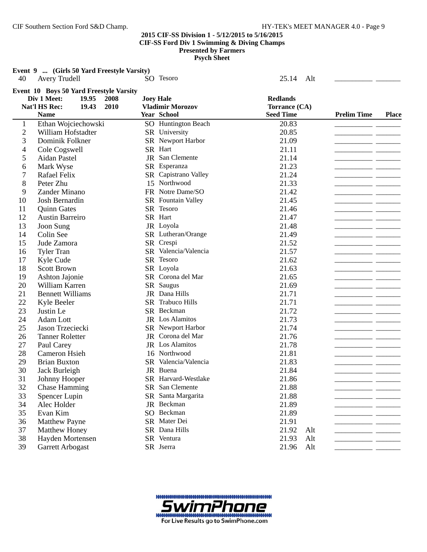**Event 9 ... (Girls 50 Yard Freestyle Varsity)**<br>40 Avery Trudell **SO** Te Avery Trudell SO Tesoro 25.14 Alt \_\_\_\_\_\_\_\_\_\_\_ \_\_\_\_\_\_\_

| soro |  |  |
|------|--|--|
|      |  |  |

|                | Event 10 Boys 50 Yard Freestyle Varsity |      |                           |                  |     |                    |              |
|----------------|-----------------------------------------|------|---------------------------|------------------|-----|--------------------|--------------|
|                | Div 1 Meet:<br>19.95                    | 2008 | <b>Joey Hale</b>          | <b>Redlands</b>  |     |                    |              |
|                | Nat'l HS Rec:<br>19.43                  | 2010 | <b>Vladimir Morozov</b>   | Torrance (CA)    |     |                    |              |
|                | <b>Name</b>                             |      | <b>Year School</b>        | <b>Seed Time</b> |     | <b>Prelim Time</b> | <b>Place</b> |
| $\mathbf{1}$   | Ethan Wojciechowski                     |      | SO Huntington Beach       | 20.83            |     |                    |              |
| $\overline{2}$ | William Hofstadter                      |      | SR University             | 20.85            |     |                    |              |
| 3              | Dominik Folkner                         |      | SR Newport Harbor         | 21.09            |     |                    |              |
| $\overline{4}$ | Cole Cogswell                           |      | SR Hart                   | 21.11            |     |                    |              |
| 5              | Aidan Pastel                            |      | JR San Clemente           | 21.14            |     |                    |              |
| 6              | Mark Wyse                               |      | SR Esperanza              | 21.23            |     |                    |              |
| 7              | Rafael Felix                            |      | SR Capistrano Valley      | 21.24            |     |                    |              |
| 8              | Peter Zhu                               |      | 15 Northwood              | 21.33            |     |                    |              |
| 9              | Zander Minano                           |      | FR Notre Dame/SO          | 21.42            |     |                    |              |
| 10             | Josh Bernardin                          |      | <b>SR</b> Fountain Valley | 21.45            |     |                    |              |
| 11             | <b>Quinn Gates</b>                      |      | SR Tesoro                 | 21.46            |     |                    |              |
| 12             | Austin Barreiro                         |      | SR Hart                   | 21.47            |     |                    |              |
| 13             | Joon Sung                               |      | JR Loyola                 | 21.48            |     |                    |              |
| 14             | Colin See                               |      | SR Lutheran/Orange        | 21.49            |     |                    |              |
| 15             | Jude Zamora                             |      | SR Crespi                 | 21.52            |     |                    |              |
| 16             | <b>Tyler Tran</b>                       |      | SR Valencia/Valencia      | 21.57            |     |                    |              |
| 17             | Kyle Cude                               |      | SR Tesoro                 | 21.62            |     |                    |              |
| 18             | <b>Scott Brown</b>                      |      | SR Loyola                 | 21.63            |     |                    |              |
| 19             | Ashton Jajonie                          |      | SR Corona del Mar         | 21.65            |     |                    |              |
| 20             | William Karren                          |      | SR Saugus                 | 21.69            |     |                    |              |
| 21             | <b>Bennett Williams</b>                 |      | JR Dana Hills             | 21.71            |     |                    |              |
| 22             | Kyle Beeler                             |      | SR Trabuco Hills          | 21.71            |     |                    |              |
| 23             | Justin Le                               |      | SR Beckman                | 21.72            |     |                    |              |
| 24             | Adam Lott                               |      | JR Los Alamitos           | 21.73            |     |                    |              |
| 25             | Jason Trzeciecki                        |      | SR Newport Harbor         | 21.74            |     |                    |              |
| 26             | <b>Tanner Roletter</b>                  |      | JR Corona del Mar         | 21.76            |     |                    |              |
| 27             | Paul Carey                              |      | JR Los Alamitos           | 21.78            |     |                    |              |
| 28             | Cameron Hsieh                           |      | 16 Northwood              | 21.81            |     |                    |              |
| 29             | <b>Brian Buxton</b>                     |      | SR Valencia/Valencia      | 21.83            |     |                    |              |
| 30             | Jack Burleigh                           |      | JR Buena                  | 21.84            |     |                    |              |
| 31             | Johnny Hooper                           |      | SR Harvard-Westlake       | 21.86            |     |                    |              |
| 32             | <b>Chase Hamming</b>                    |      | SR San Clemente           | 21.88            |     |                    |              |
| 33             | Spencer Lupin                           |      | SR Santa Margarita        | 21.88            |     |                    |              |
| 34             | Alec Holder                             |      | JR Beckman                | 21.89            |     |                    |              |
| 35             | Evan Kim                                |      | SO Beckman                | 21.89            |     |                    |              |
|                |                                         |      | SR Mater Dei              |                  |     |                    |              |
| 36             | <b>Matthew Payne</b>                    |      | SR Dana Hills             | 21.91            |     |                    |              |
| 37             | Matthew Honey                           |      |                           | 21.92            | Alt |                    |              |
| 38             | Hayden Mortensen                        |      | SR Ventura                | 21.93            | Alt |                    |              |
| 39             | Garrett Arbogast                        |      | SR Jserra                 | 21.96            | Alt |                    |              |

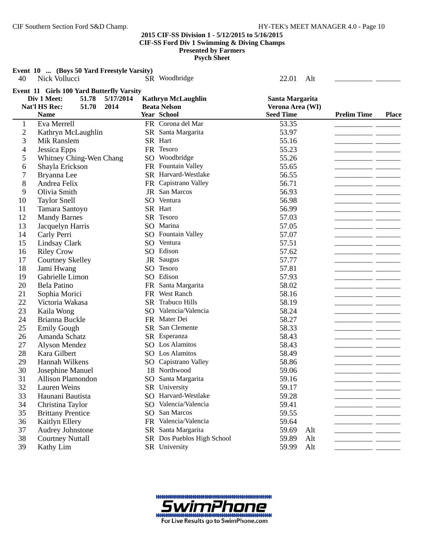**Event 10 ... (Boys 50 Yard Freestyle Varsity)** 40 Nick Vollucci SR Woodbridge 22.01 Alt **Event 11 Girls 100 Yard Butterfly Varsity Div 1 Meet:** 51.78 5/17/2014 **Kathryn McLaughlin** Santa Margarita Nat'l HS Rec: 51.70 2014 Beata Nelson **2014 Beata Nelson** Verona Area (WI) **Name Year School Place Seed Time Prelim Time** 1 Eva Merrell FR Corona del Mar 53.35 2 Kathryn McLaughlin SR Santa Margarita 53.97 \_\_\_\_\_\_\_\_\_\_\_\_\_\_\_\_\_\_\_\_\_\_\_\_\_\_\_\_\_\_\_\_\_\_\_ 3 Mik Ranslem SR Hart 55.16 \_\_\_\_\_\_\_\_\_\_ 4 Jessica Epps FR Tesoro 55.23 \_\_\_\_\_\_\_\_\_\_\_ \_\_\_\_\_\_\_ 5 Whitney Ching-Wen Chang SO Woodbridge 55.26 6 Shayla Erickson FR Fountain Valley 55.65 7 Bryanna Lee SR Harvard-Westlake 56.55 \_\_\_\_\_\_\_\_\_\_\_ \_\_\_\_\_\_\_ 8 Andrea Felix FR Capistrano Valley 56.71 \_\_\_\_\_\_\_\_\_\_\_ \_\_\_\_\_\_\_ 9 Olivia Smith JR San Marcos 56.93 \_\_\_\_\_\_\_\_\_\_\_ \_\_\_\_\_\_\_ 10 Taylor Snell SO Ventura 56.98 \_\_\_\_\_\_\_\_\_\_\_ \_\_\_\_\_\_\_ 11 Tamara Santoyo SR Hart 56.99 12 Mandy Barnes SR Tesoro 57.03 \_\_\_\_\_\_\_\_\_\_\_ \_\_\_\_\_\_\_ 13 Jacquelyn Harris SO Marina 57.05 14 Carly Perri SO Fountain Valley 57.07 15 Lindsay Clark SO Ventura 57.51 \_\_\_\_\_\_\_\_\_\_\_ \_\_\_\_\_\_\_ 16 Riley Crow SO Edison 57.62 \_\_\_\_\_\_\_\_\_\_\_ \_\_\_\_\_\_\_ 17 Courtney Skelley JR Saugus 57.77 \_\_\_\_\_\_\_\_\_\_\_ \_\_\_\_\_\_\_ Jami Hwang 57.81 \_\_\_\_\_\_\_\_\_\_\_\_\_ SO Tesoro 57.81 \_\_\_\_\_\_\_\_\_\_\_\_\_\_\_\_\_\_\_\_\_\_\_\_\_\_\_\_\_\_\_\_\_ 19 Gabrielle Limon SO Edison 57.93 20 Bela Patino **FR** Santa Margarita 58.02 21 Sophia Morici **FR** West Ranch 58.16 \_\_\_\_\_\_\_\_\_\_ \_\_\_ 22 Victoria Wakasa SR Trabuco Hills 58.19 \_\_\_\_\_\_\_\_\_\_\_ \_\_\_\_\_\_\_ 23 Kaila Wong SO Valencia/Valencia 58.24<br>24 Brianna Buckle FR Mater Dei 58.27 24 Brianna Buckle FR Mater Dei 58.27 25 Emily Gough SR San Clemente 58.33 26 Amanda Schatz SR Esperanza 58.43 27 Alyson Mendez SO Los Alamitos 58.43 \_\_\_\_\_\_\_\_\_\_\_ \_\_\_\_\_\_\_ 28 Kara Gilbert SO Los Alamitos 58.49 \_\_\_\_\_\_\_\_\_\_\_ \_\_\_\_\_\_\_ Hannah Wilkens SO Capistrano Valley 58.86 30 Josephine Manuel 18 Northwood 59.06 \_\_\_\_\_\_\_\_\_\_\_ \_\_\_\_\_\_\_ 31 Allison Plamondon SO Santa Margarita 59.16 32 Lauren Weins SR University 59.17 11 11 2011 11 2012 33 Haunani Bautista SO Harvard-Westlake 59.28 \_\_\_\_\_\_\_\_\_\_\_ \_\_\_\_\_\_\_ 34 Christina Taylor SO Valencia/Valencia 59.41 35 Brittany Prentice SO San Marcos 59.55 \_\_\_\_\_\_\_\_\_\_\_ \_\_\_\_\_\_\_ 36 Kaitlyn Ellery FR Valencia/Valencia 59.64 \_\_\_\_\_\_\_\_\_\_\_ \_\_\_\_\_\_\_ 37 Audrey Johnstone SR Santa Margarita 59.69 Alt 38 Courtney Nuttall SR Dos Pueblos High School 59.89 Alt \_\_\_\_\_\_\_\_\_\_\_\_\_\_\_\_\_ 39 Kathy Lim SR University 59.99 Alt \_\_\_\_\_\_\_\_\_\_\_ \_\_\_\_\_\_\_

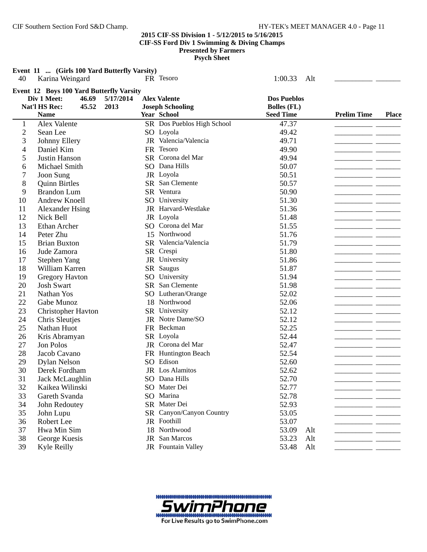**Psych Sheet**

**Event 11 ... (Girls 100 Yard Butterfly Varsity)**<br>40 Karina Weingard FR Tes Karina Weingard **FR Tesoro FR Tesoro** 1:00.33 Alt \_\_\_\_\_\_\_\_\_\_\_\_

|                          | Event 12 Boys 100 Yard Butterfly Varsity |           |                            |                    |     |                    |              |
|--------------------------|------------------------------------------|-----------|----------------------------|--------------------|-----|--------------------|--------------|
|                          | Div 1 Meet:<br>46.69                     | 5/17/2014 | <b>Alex Valente</b>        | <b>Dos Pueblos</b> |     |                    |              |
|                          | Nat'l HS Rec:<br>45.52                   | 2013      | <b>Joseph Schooling</b>    | <b>Bolles</b> (FL) |     |                    |              |
|                          | <b>Name</b>                              |           | <b>Year School</b>         | <b>Seed Time</b>   |     | <b>Prelim Time</b> | <b>Place</b> |
| $\mathbf{1}$             | Alex Valente                             |           | SR Dos Pueblos High School | 47.37              |     | $ -$               |              |
| $\mathfrak{2}$           | Sean Lee                                 |           | SO Loyola                  | 49.42              |     |                    |              |
| 3                        | Johnny Ellery                            |           | JR Valencia/Valencia       | 49.71              |     |                    |              |
| $\overline{\mathcal{L}}$ | Daniel Kim                               |           | FR Tesoro                  | 49.90              |     |                    |              |
| 5                        | Justin Hanson                            |           | SR Corona del Mar          | 49.94              |     |                    |              |
| 6                        | Michael Smith                            |           | SO Dana Hills              | 50.07              |     |                    |              |
| 7                        | Joon Sung                                |           | JR Loyola                  | 50.51              |     |                    |              |
| 8                        | <b>Quinn Birtles</b>                     |           | SR San Clemente            | 50.57              |     |                    |              |
| 9                        | <b>Brandon Lum</b>                       |           | SR Ventura                 | 50.90              |     |                    |              |
| 10                       | <b>Andrew Knoell</b>                     |           | SO University              | 51.30              |     |                    |              |
| 11                       | <b>Alexander Hsing</b>                   |           | JR Harvard-Westlake        | 51.36              |     |                    |              |
| 12                       | Nick Bell                                |           | JR Loyola                  | 51.48              |     |                    |              |
| 13                       | Ethan Archer                             |           | SO Corona del Mar          | 51.55              |     |                    |              |
| 14                       | Peter Zhu                                |           | 15 Northwood               | 51.76              |     |                    |              |
| 15                       | <b>Brian Buxton</b>                      |           | SR Valencia/Valencia       | 51.79              |     |                    |              |
| 16                       | Jude Zamora                              |           | SR Crespi                  | 51.80              |     |                    |              |
| 17                       | <b>Stephen Yang</b>                      |           | JR University              | 51.86              |     |                    |              |
| 18                       | William Karren                           |           | SR Saugus                  | 51.87              |     |                    |              |
| 19                       | <b>Gregory Havton</b>                    |           | SO University              | 51.94              |     |                    |              |
| 20                       | <b>Josh Swart</b>                        |           | SR San Clemente            | 51.98              |     |                    |              |
| 21                       | Nathan Yos                               |           | SO Lutheran/Orange         | 52.02              |     |                    |              |
| 22                       | Gabe Munoz                               |           | 18 Northwood               | 52.06              |     |                    |              |
| 23                       | Christopher Havton                       |           | SR University              | 52.12              |     |                    |              |
| 24                       | Chris Sleutjes                           |           | JR Notre Dame/SO           | 52.12              |     |                    |              |
| 25                       | Nathan Huot                              |           | FR Beckman                 | 52.25              |     |                    |              |
| 26                       | Kris Abramyan                            |           | SR Loyola                  | 52.44              |     |                    |              |
| 27                       | Jon Polos                                |           | JR Corona del Mar          | 52.47              |     |                    |              |
| 28                       | Jacob Cavano                             |           | FR Huntington Beach        | 52.54              |     | - -                |              |
| 29                       | <b>Dylan Nelson</b>                      |           | SO Edison                  | 52.60              |     |                    |              |
| 30                       | Derek Fordham                            |           | JR Los Alamitos            | 52.62              |     |                    |              |
| 31                       | Jack McLaughlin                          |           | SO Dana Hills              | 52.70              |     |                    |              |
| 32                       | Kaikea Wilinski                          |           | SO Mater Dei               | 52.77              |     |                    |              |
| 33                       | Gareth Svanda                            |           | SO Marina                  | 52.78              |     |                    |              |
| 34                       | John Redoutey                            |           | SR Mater Dei               | 52.93              |     |                    |              |
| 35                       | John Lupu                                |           | SR Canyon/Canyon Country   | 53.05              |     |                    |              |
| 36                       | Robert Lee                               |           | JR Foothill                | 53.07              |     |                    |              |
| 37                       | Hwa Min Sim                              |           | 18 Northwood               | 53.09              | Alt |                    |              |
| 38                       | George Kuesis                            |           | JR San Marcos              | 53.23              | Alt |                    |              |
| 39                       | <b>Kyle Reilly</b>                       |           | JR Fountain Valley         | 53.48              | Alt |                    |              |

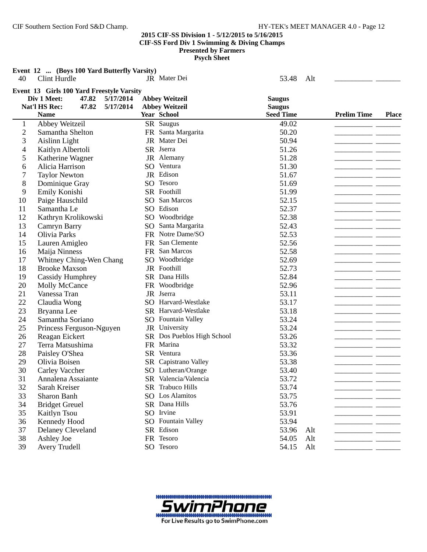**Psych Sheet**

|                | Event 12  (Boys 100 Yard Butterfly Varsity)                                                                                          |             | JR Mater Dei                                   |                                                    |     |                    |              |
|----------------|--------------------------------------------------------------------------------------------------------------------------------------|-------------|------------------------------------------------|----------------------------------------------------|-----|--------------------|--------------|
| 40             | Clint Hurdle                                                                                                                         |             |                                                | 53.48                                              | Alt |                    |              |
|                | Event 13 Girls 100 Yard Freestyle Varsity<br>Div 1 Meet:<br>47.82<br>5/17/2014<br>Nat'l HS Rec:<br>47.82<br>5/17/2014<br><b>Name</b> | Year School | <b>Abbey Weitzeil</b><br><b>Abbey Weitzeil</b> | <b>Saugus</b><br><b>Saugus</b><br><b>Seed Time</b> |     | <b>Prelim Time</b> | <b>Place</b> |
| $\mathbf{1}$   | Abbey Weitzeil                                                                                                                       | SR Saugus   |                                                | 49.02                                              |     |                    |              |
| $\overline{c}$ | Samantha Shelton                                                                                                                     |             | FR Santa Margarita                             | 50.20                                              |     |                    |              |
| 3              | Aislinn Light                                                                                                                        |             | JR Mater Dei                                   | 50.94                                              |     |                    |              |
| 4              | Kaitlyn Albertoli                                                                                                                    | SR Jserra   |                                                | 51.26                                              |     |                    |              |
| 5              | Katherine Wagner                                                                                                                     |             | JR Alemany                                     | 51.28                                              |     |                    |              |
| 6              | Alicia Harrison                                                                                                                      | SO Ventura  |                                                | 51.30                                              |     |                    |              |
| 7              | <b>Taylor Newton</b>                                                                                                                 | JR Edison   |                                                | 51.67                                              |     |                    |              |
| 8              | Dominique Gray                                                                                                                       | SO Tesoro   |                                                | 51.69                                              |     |                    |              |
| 9              | Emily Konishi                                                                                                                        | SR Foothill |                                                | 51.99                                              |     |                    |              |
| 10             | Paige Hauschild                                                                                                                      |             | SO San Marcos                                  | 52.15                                              |     |                    |              |
| 11             | Samantha Le                                                                                                                          | SO Edison   |                                                | 52.37                                              |     |                    |              |
| 12             | Kathryn Krolikowski                                                                                                                  |             | SO Woodbridge                                  | 52.38                                              |     |                    |              |
| 13             | Camryn Barry                                                                                                                         |             | SO Santa Margarita                             | 52.43                                              |     |                    |              |
| 14             | <b>Olivia Parks</b>                                                                                                                  |             | FR Notre Dame/SO                               | 52.53                                              |     |                    |              |
| 15             | Lauren Amigleo                                                                                                                       |             | FR San Clemente                                | 52.56                                              |     |                    |              |
| 16             | Maija Ninness                                                                                                                        |             | FR San Marcos                                  | 52.58                                              |     |                    |              |
| 17             | Whitney Ching-Wen Chang                                                                                                              |             | SO Woodbridge                                  | 52.69                                              |     |                    |              |
| 18             | <b>Brooke Maxson</b>                                                                                                                 |             | JR Foothill                                    | 52.73                                              |     |                    |              |
| 19             | <b>Cassidy Humphrey</b>                                                                                                              |             | SR Dana Hills                                  | 52.84                                              |     |                    |              |
| 20             | Molly McCance                                                                                                                        |             | FR Woodbridge                                  | 52.96                                              |     |                    |              |
| 21             | Vanessa Tran                                                                                                                         | JR Jserra   |                                                | 53.11                                              |     |                    |              |
| 22             | Claudia Wong                                                                                                                         |             | SO Harvard-Westlake                            | 53.17                                              |     |                    |              |
| 23             | Bryanna Lee                                                                                                                          |             | SR Harvard-Westlake                            | 53.18                                              |     |                    |              |
| 24             | Samantha Soriano                                                                                                                     |             | SO Fountain Valley                             | 53.24                                              |     |                    |              |
| 25             | Princess Ferguson-Nguyen                                                                                                             |             | JR University                                  | 53.24                                              |     |                    |              |
| 26             | Reagan Eickert                                                                                                                       |             | SR Dos Pueblos High School                     | 53.26                                              |     |                    |              |
| 27             | Terra Matsushima                                                                                                                     | FR Marina   |                                                | 53.32                                              |     |                    |              |
| 28             | Paisley O'Shea                                                                                                                       | SR Ventura  |                                                | 53.36                                              |     |                    |              |
| 29             | Olivia Boisen                                                                                                                        |             | SR Capistrano Valley                           | 53.38                                              |     |                    |              |
| 30             | Carley Vaccher                                                                                                                       |             | SO Lutheran/Orange                             | 53.40                                              |     |                    |              |
| 31             | Annalena Assaiante                                                                                                                   |             | SR Valencia/Valencia                           | 53.72                                              |     |                    |              |
| 32             | Sarah Kreiser                                                                                                                        |             | SR Trabuco Hills                               | 53.74                                              |     |                    |              |
| 33             | Sharon Banh                                                                                                                          |             | SO Los Alamitos                                | 53.75                                              |     |                    |              |
| 34             | <b>Bridget Greuel</b>                                                                                                                |             | SR Dana Hills                                  | 53.76                                              |     |                    |              |
| 35             | Kaitlyn Tsou                                                                                                                         | SO Irvine   |                                                | 53.91                                              |     |                    |              |
| 36             | Kennedy Hood                                                                                                                         |             | SO Fountain Valley                             | 53.94                                              |     |                    |              |
| 37             | Delaney Cleveland                                                                                                                    | SR Edison   |                                                | 53.96                                              | Alt |                    |              |
| 38             | Ashley Joe                                                                                                                           | FR Tesoro   |                                                | 54.05                                              | Alt |                    |              |

39 Avery Trudell SO Tesoro 54.15 Alt

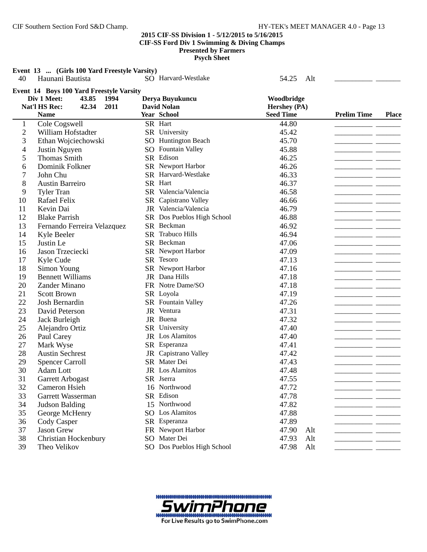**Event 13 ... (Girls 100 Yard Freestyle Varsity)**

| 40                       | Haunani Bautista                                | SO Harvard-Westlake        | 54.25<br>Alt     |                    |              |
|--------------------------|-------------------------------------------------|----------------------------|------------------|--------------------|--------------|
|                          | <b>Event 14 Boys 100 Yard Freestyle Varsity</b> |                            |                  |                    |              |
|                          | Div 1 Meet:<br>43.85<br>1994                    | Derya Buyukuncu            | Woodbridge       |                    |              |
|                          | Nat'l HS Rec:<br>42.34<br>2011                  | <b>David Nolan</b>         | Hershey (PA)     |                    |              |
|                          | <b>Name</b>                                     | Year School                | <b>Seed Time</b> | <b>Prelim Time</b> | <b>Place</b> |
| $\mathbf{1}$             | Cole Cogswell                                   | SR Hart                    | 44.80            |                    |              |
| $\overline{c}$           | William Hofstadter                              | SR University              | 45.42            |                    |              |
| 3                        | Ethan Wojciechowski                             | <b>SO</b> Huntington Beach | 45.70            |                    |              |
| $\overline{\mathcal{A}}$ | Justin Nguyen                                   | SO Fountain Valley         | 45.88            |                    |              |
| 5                        | <b>Thomas Smith</b>                             | SR Edison                  | 46.25            |                    |              |
| 6                        | Dominik Folkner                                 | SR Newport Harbor          | 46.26            |                    |              |
| 7                        | John Chu                                        | SR Harvard-Westlake        | 46.33            |                    |              |
| 8                        | <b>Austin Barreiro</b>                          | SR Hart                    | 46.37            |                    |              |
| 9                        | <b>Tyler Tran</b>                               | SR Valencia/Valencia       | 46.58            |                    |              |
| 10                       | Rafael Felix                                    | SR Capistrano Valley       | 46.66            |                    |              |
| 11                       | Kevin Dai                                       | JR Valencia/Valencia       | 46.79            |                    |              |
| 12                       | <b>Blake Parrish</b>                            | SR Dos Pueblos High School | 46.88            |                    |              |
| 13                       | Fernando Ferreira Velazquez                     | SR Beckman                 | 46.92            |                    |              |
| 14                       | Kyle Beeler                                     | SR Trabuco Hills           | 46.94            |                    |              |
| 15                       | Justin Le                                       | SR Beckman                 | 47.06            |                    |              |
| 16                       | Jason Trzeciecki                                | SR Newport Harbor          | 47.09            |                    |              |
| 17                       | Kyle Cude                                       | SR Tesoro                  | 47.13            |                    |              |
| 18                       | Simon Young                                     | SR Newport Harbor          | 47.16            |                    |              |
| 19                       | <b>Bennett Williams</b>                         | JR Dana Hills              | 47.18            |                    |              |
| 20                       | Zander Minano                                   | FR Notre Dame/SO           | 47.18            |                    |              |
| 21                       | <b>Scott Brown</b>                              | SR Loyola                  | 47.19            |                    |              |
| 22                       | Josh Bernardin                                  | SR Fountain Valley         | 47.26            |                    |              |
| 23                       | David Peterson                                  | JR Ventura                 | 47.31            |                    |              |
| 24                       | Jack Burleigh                                   | JR Buena                   | 47.32            |                    |              |
| 25                       | Alejandro Ortiz                                 | SR University              | 47.40            |                    |              |
| 26                       | Paul Carey                                      | JR Los Alamitos            | 47.40            | ____               |              |
| 27                       | Mark Wyse                                       | SR Esperanza               | 47.41            |                    |              |
| 28                       | <b>Austin Sechrest</b>                          | JR Capistrano Valley       | 47.42            |                    |              |
| 29                       | <b>Spencer Carroll</b>                          | SR Mater Dei               | 47.43            |                    |              |
| 30                       | Adam Lott                                       | JR Los Alamitos            | 47.48            |                    |              |
| 31                       | Garrett Arbogast                                | SR Jserra                  | 47.55            |                    |              |
| 32                       | Cameron Hsieh                                   | 16 Northwood               | 47.72            |                    |              |
| 33                       | Garrett Wasserman                               | SR Edison                  | 47.78            |                    |              |
| 34                       | <b>Judson Balding</b>                           | 15 Northwood               | 47.82            |                    |              |
| 35                       | George McHenry                                  | SO Los Alamitos            | 47.88            |                    |              |
| 36                       | Cody Casper                                     | SR Esperanza               | 47.89            |                    |              |
| 37                       | Jason Grew                                      | FR Newport Harbor          | 47.90<br>Alt     |                    |              |
| 38                       | Christian Hockenbury                            | SO Mater Dei               | 47.93<br>Alt     |                    |              |
| 39                       | Theo Velikov                                    | SO Dos Pueblos High School | 47.98<br>Alt     |                    |              |

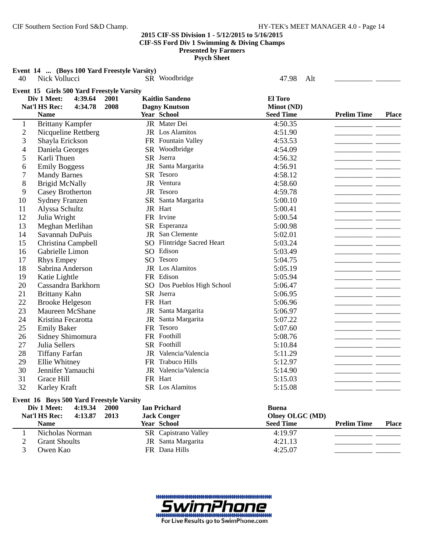**Event 14 ... (Boys 100 Yard Freestyle Varsity)**

| 40             | Nick Vollucci                                                       |      | SR Woodbridge              | 47.98<br>Alt     |                    |              |
|----------------|---------------------------------------------------------------------|------|----------------------------|------------------|--------------------|--------------|
|                | Event 15 Girls 500 Yard Freestyle Varsity<br>Div 1 Meet:<br>4:39.64 | 2001 | <b>Kaitlin Sandeno</b>     | <b>El Toro</b>   |                    |              |
|                | Nat'l HS Rec:<br>4:34.78                                            | 2008 | <b>Dagny Knutson</b>       | Minot (ND)       |                    |              |
|                | <b>Name</b>                                                         |      | Year School                | <b>Seed Time</b> | <b>Prelim Time</b> | <b>Place</b> |
| $\mathbf{1}$   | <b>Brittany Kampfer</b>                                             |      | JR Mater Dei               | 4:50.35          |                    |              |
| $\mathbf{2}$   | Nicqueline Rettberg                                                 |      | JR Los Alamitos            | 4:51.90          |                    |              |
| 3              | Shayla Erickson                                                     |      | FR Fountain Valley         | 4:53.53          |                    |              |
| $\overline{4}$ | Daniela Georges                                                     |      | SR Woodbridge              | 4:54.09          |                    |              |
| 5              | Karli Thuen                                                         |      | SR Jserra                  | 4:56.32          |                    |              |
| 6              | <b>Emily Boggess</b>                                                |      | JR Santa Margarita         | 4:56.91          |                    |              |
| $\overline{7}$ | <b>Mandy Barnes</b>                                                 |      | SR Tesoro                  | 4:58.12          |                    |              |
| 8              | <b>Brigid McNally</b>                                               |      | JR Ventura                 | 4:58.60          |                    |              |
| 9              | Casey Brotherton                                                    |      | JR Tesoro                  | 4:59.78          |                    |              |
| 10             | <b>Sydney Franzen</b>                                               |      | SR Santa Margarita         | 5:00.10          | - -                |              |
| 11             | Alyssa Schultz                                                      |      | JR Hart                    | 5:00.41          |                    |              |
| 12             | Julia Wright                                                        |      | FR Irvine                  | 5:00.54          |                    |              |
| 13             | Meghan Merlihan                                                     |      | SR Esperanza               | 5:00.98          |                    |              |
| 14             | Savannah DuPuis                                                     |      | JR San Clemente            | 5:02.01          |                    |              |
| 15             | Christina Campbell                                                  |      | SO Flintridge Sacred Heart | 5:03.24          |                    |              |
| 16             | Gabrielle Limon                                                     |      | SO Edison                  | 5:03.49          |                    |              |
| 17             | <b>Rhys Empey</b>                                                   |      | SO Tesoro                  | 5:04.75          |                    |              |
| 18             | Sabrina Anderson                                                    |      | JR Los Alamitos            | 5:05.19          |                    |              |
| 19             | Katie Lightle                                                       |      | FR Edison                  | 5:05.94          |                    |              |
| 20             | Cassandra Barkhorn                                                  |      | SO Dos Pueblos High School | 5:06.47          |                    |              |
| 21             | <b>Brittany Kahn</b>                                                |      | SR Jserra                  | 5:06.95          |                    |              |
| 22             | <b>Brooke Helgeson</b>                                              |      | FR Hart                    | 5:06.96          | -- ---             |              |
| 23             | Maureen McShane                                                     |      | JR Santa Margarita         | 5:06.97          |                    |              |
| 24             | Kristina Fecarotta                                                  |      | JR Santa Margarita         | 5:07.22          |                    |              |
| 25             | <b>Emily Baker</b>                                                  |      | FR Tesoro                  | 5:07.60          |                    |              |
| 26             | Sidney Shimomura                                                    |      | FR Foothill                | 5:08.76          |                    |              |
| 27             | Julia Sellers                                                       |      | SR Foothill                | 5:10.84          |                    |              |
| 28             | <b>Tiffany Farfan</b>                                               |      | JR Valencia/Valencia       | 5:11.29          |                    |              |
| 29             | Ellie Whitney                                                       |      | FR Trabuco Hills           | 5:12.97          |                    |              |
| 30             | Jennifer Yamauchi                                                   |      | JR Valencia/Valencia       | 5:14.90          |                    |              |
| 31             | Grace Hill                                                          |      | FR Hart                    | 5:15.03          |                    |              |
| 32             | Karley Kraft                                                        |      | SR Los Alamitos            | 5:15.08          |                    |              |
|                | Event 16 Boys 500 Yard Freestyle Varsity                            |      |                            |                  |                    |              |
|                | Div 1 Meet:<br>4:19.34                                              | 2000 | <b>Ian Prichard</b>        | <b>Buena</b>     |                    |              |
|                | Nat'l HS Rec:<br>4:13.87                                            | 2013 | <b>Jack Conger</b>         | Olney OLGC (MD)  |                    |              |

|  | $\cdots$<br>-<br>-- | $0$ uch $\cup$ ugu          | $OHC$ , $OLOO$ , $OCD$ , |                    |       |
|--|---------------------|-----------------------------|--------------------------|--------------------|-------|
|  | Name                | <b>Year School</b>          | <b>Seed Time</b>         | <b>Prelim Time</b> | Place |
|  | Nicholas Norman     | <b>SR</b> Capistrano Valley | 4:19.97                  |                    |       |
|  | Grant Shoults .     | JR Santa Margarita          | 4:21.13                  |                    |       |
|  | Owen Kao            | FR Dana Hills               | 4:25.07                  |                    |       |
|  |                     |                             |                          |                    |       |

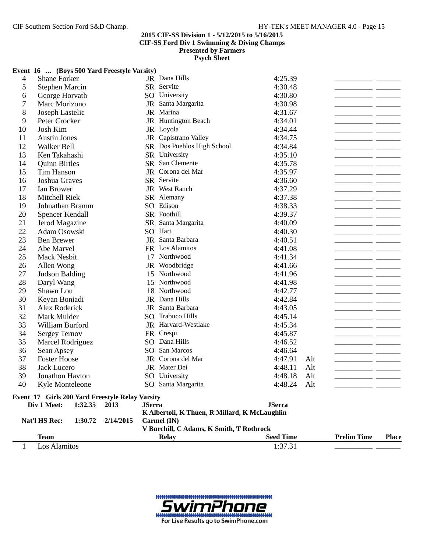**Psych Sheet**

|    |                          | Event 16  (Boys 500 Yard Freestyle Varsity)     |               |                                               |                  |     |                    |              |
|----|--------------------------|-------------------------------------------------|---------------|-----------------------------------------------|------------------|-----|--------------------|--------------|
| 4  | Shane Forker             |                                                 |               | JR Dana Hills                                 | 4:25.39          |     |                    |              |
| 5  | <b>Stephen Marcin</b>    |                                                 |               | SR Servite                                    | 4:30.48          |     |                    |              |
| 6  | George Horvath           |                                                 |               | SO University                                 | 4:30.80          |     |                    |              |
| 7  | Marc Morizono            |                                                 |               | JR Santa Margarita                            | 4:30.98          |     |                    |              |
| 8  | Joseph Lastelic          |                                                 |               | JR Marina                                     | 4:31.67          |     |                    |              |
| 9  | Peter Crocker            |                                                 |               | JR Huntington Beach                           | 4:34.01          |     |                    |              |
| 10 | Josh Kim                 |                                                 |               | JR Loyola                                     | 4:34.44          |     |                    |              |
| 11 | <b>Austin Jones</b>      |                                                 |               | JR Capistrano Valley                          | 4:34.75          |     |                    |              |
| 12 | Walker Bell              |                                                 |               | SR Dos Pueblos High School                    | 4:34.84          |     |                    |              |
| 13 | Ken Takahashi            |                                                 |               | SR University                                 | 4:35.10          |     |                    |              |
| 14 | <b>Quinn Birtles</b>     |                                                 |               | SR San Clemente                               | 4:35.78          |     |                    |              |
| 15 | <b>Tim Hanson</b>        |                                                 |               | JR Corona del Mar                             | 4:35.97          |     |                    |              |
| 16 | Joshua Graves            |                                                 |               | SR Servite                                    | 4:36.60          |     |                    |              |
| 17 | Ian Brower               |                                                 |               | JR West Ranch                                 | 4:37.29          |     |                    |              |
| 18 | Mitchell Riek            |                                                 |               | SR Alemany                                    | 4:37.38          |     |                    |              |
| 19 | Johnathan Bramm          |                                                 |               | SO Edison                                     | 4:38.33          |     |                    |              |
| 20 | Spencer Kendall          |                                                 |               | SR Foothill                                   | 4:39.37          |     |                    |              |
| 21 | Jerod Magazine           |                                                 |               | SR Santa Margarita                            | 4:40.09          |     |                    |              |
| 22 | Adam Osowski             |                                                 |               | SO Hart                                       | 4:40.30          |     |                    |              |
| 23 | <b>Ben Brewer</b>        |                                                 |               | JR Santa Barbara                              | 4:40.51          |     |                    |              |
| 24 | Abe Marvel               |                                                 |               | FR Los Alamitos                               | 4:41.08          |     |                    |              |
| 25 | <b>Mack Nesbit</b>       |                                                 | 17            | Northwood                                     | 4:41.34          |     |                    |              |
| 26 | Allen Wong               |                                                 |               | JR Woodbridge                                 | 4:41.66          |     |                    |              |
| 27 | Judson Balding           |                                                 | 15            | Northwood                                     | 4:41.96          |     |                    |              |
| 28 | Daryl Wang               |                                                 | 15            | Northwood                                     | 4:41.98          |     |                    |              |
| 29 | Shawn Lou                |                                                 |               | 18 Northwood                                  | 4:42.77          |     |                    |              |
| 30 | Keyan Boniadi            |                                                 |               | JR Dana Hills                                 | 4:42.84          |     |                    |              |
| 31 | Alex Roderick            |                                                 |               | JR Santa Barbara                              | 4:43.05          |     |                    |              |
| 32 | Mark Mulder              |                                                 |               | SO Trabuco Hills                              | 4:45.14          |     |                    |              |
| 33 | William Burford          |                                                 |               | JR Harvard-Westlake                           | 4:45.34          |     |                    |              |
| 34 | <b>Sergey Ternov</b>     |                                                 |               | FR Crespi                                     | 4:45.87          |     |                    |              |
| 35 | Marcel Rodriguez         |                                                 |               | SO Dana Hills                                 | 4:46.52          |     |                    |              |
| 36 | Sean Apsey               |                                                 |               | SO San Marcos                                 | 4:46.64          |     |                    |              |
| 37 | <b>Foster Hoose</b>      |                                                 |               | JR Corona del Mar                             | 4:47.91          | Alt |                    |              |
| 38 | <b>Jack Lucero</b>       |                                                 |               | JR Mater Dei                                  | 4:48.11          | Alt |                    |              |
| 39 | Jonathon Havton          |                                                 |               | SO University                                 | 4:48.18          | Alt |                    |              |
| 40 | Kyle Monteleone          |                                                 |               | SO Santa Margarita                            | 4:48.24          | Alt |                    |              |
|    |                          | Event 17 Girls 200 Yard Freestyle Relay Varsity |               |                                               |                  |     |                    |              |
|    | Div 1 Meet:<br>1:32.35   | 2013                                            | <b>JSerra</b> |                                               | <b>JSerra</b>    |     |                    |              |
|    |                          |                                                 |               | K Albertoli, K Thuen, R Millard, K McLaughlin |                  |     |                    |              |
|    | Nat'l HS Rec:<br>1:30.72 | 2/14/2015                                       |               | $Carmel$ (IN)                                 |                  |     |                    |              |
|    |                          |                                                 |               | V Burchill, C Adams, K Smith, T Rothrock      |                  |     |                    |              |
|    | <b>Team</b>              |                                                 |               | Relay                                         | <b>Seed Time</b> |     | <b>Prelim Time</b> | <b>Place</b> |
| 1  | Los Alamitos             |                                                 |               |                                               | 1:37.31          |     |                    |              |

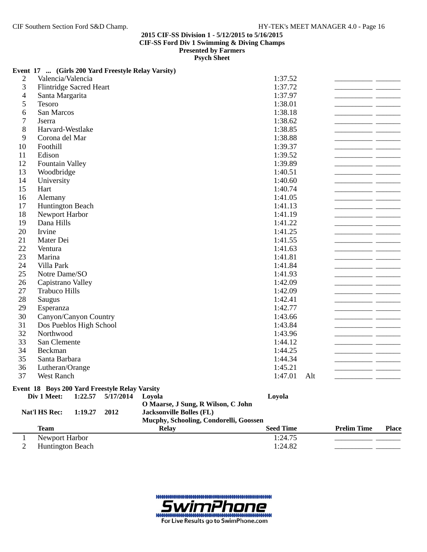## **Event 17 ... (Girls 200 Yard Freestyle Relay Varsity)**

| 1<br>$\overline{2}$      | Newport Harbor<br><b>Huntington Beach</b>             |                    |                   |                                                                                                                           | 1:24.75<br>1:24.82 |     |                    |              |
|--------------------------|-------------------------------------------------------|--------------------|-------------------|---------------------------------------------------------------------------------------------------------------------------|--------------------|-----|--------------------|--------------|
|                          | <b>Team</b>                                           |                    |                   | <b>Relay</b>                                                                                                              | <b>Seed Time</b>   |     | <b>Prelim Time</b> | <b>Place</b> |
|                          | Div 1 Meet:<br>Nat'l HS Rec:                          | 1:22.57<br>1:19.27 | 5/17/2014<br>2012 | Loyola<br>O Maarse, J Sung, R Wilson, C John<br><b>Jacksonville Bolles (FL)</b><br>Mucphy, Schooling, Condorelli, Goossen | Loyola             |     |                    |              |
|                          | <b>Event 18 Boys 200 Yard Freestyle Relay Varsity</b> |                    |                   |                                                                                                                           |                    |     |                    |              |
| 37                       | West Ranch                                            |                    |                   |                                                                                                                           | 1:47.01            | Alt |                    |              |
| 36                       | Lutheran/Orange                                       |                    |                   |                                                                                                                           | 1:45.21            |     |                    |              |
| 35                       | Santa Barbara                                         |                    |                   |                                                                                                                           | 1:44.34            |     |                    |              |
| 34                       | Beckman                                               |                    |                   |                                                                                                                           | 1:44.25            |     |                    |              |
| 33                       | San Clemente                                          |                    |                   |                                                                                                                           | 1:44.12            |     |                    |              |
| 32                       | Northwood                                             |                    |                   |                                                                                                                           | 1:43.96            |     |                    |              |
| 31                       | Dos Pueblos High School                               |                    |                   |                                                                                                                           | 1:43.84            |     |                    |              |
| 30                       | Canyon/Canyon Country                                 |                    |                   |                                                                                                                           | 1:43.66            |     |                    |              |
| 29                       | Esperanza                                             |                    |                   |                                                                                                                           | 1:42.77            |     |                    |              |
| 28                       | Saugus                                                |                    |                   |                                                                                                                           | 1:42.41            |     |                    |              |
| 27                       | <b>Trabuco Hills</b>                                  |                    |                   |                                                                                                                           | 1:42.09            |     |                    |              |
| 26                       | Capistrano Valley                                     |                    |                   |                                                                                                                           | 1:42.09            |     |                    |              |
| 25                       | Notre Dame/SO                                         |                    |                   |                                                                                                                           | 1:41.93            |     |                    |              |
| 24                       | Villa Park                                            |                    |                   |                                                                                                                           | 1:41.84            |     |                    |              |
| 23                       | Marina                                                |                    |                   |                                                                                                                           | 1:41.81            |     |                    |              |
| 22                       | Ventura                                               |                    |                   |                                                                                                                           | 1:41.63            |     |                    |              |
| 21                       | Mater Dei                                             |                    |                   |                                                                                                                           | 1:41.55            |     |                    |              |
| 20                       | Irvine                                                |                    |                   |                                                                                                                           | 1:41.25            |     |                    |              |
| 19                       | Dana Hills                                            |                    |                   |                                                                                                                           | 1:41.22            |     |                    |              |
| 18                       | Newport Harbor                                        |                    |                   |                                                                                                                           | 1:41.19            |     |                    |              |
| 17                       | <b>Huntington Beach</b>                               |                    |                   |                                                                                                                           | 1:41.13            |     |                    |              |
| 16                       | Alemany                                               |                    |                   |                                                                                                                           | 1:41.05            |     |                    |              |
| 15                       | Hart                                                  |                    |                   |                                                                                                                           | 1:40.74            |     |                    |              |
| 13<br>14                 | Woodbridge<br>University                              |                    |                   |                                                                                                                           | 1:40.51<br>1:40.60 |     |                    |              |
| 12                       | <b>Fountain Valley</b>                                |                    |                   |                                                                                                                           | 1:39.89            |     |                    |              |
| 11                       | Edison                                                |                    |                   |                                                                                                                           | 1:39.52            |     |                    |              |
| 10                       | Foothill                                              |                    |                   |                                                                                                                           | 1:39.37            |     |                    |              |
| 9                        | Corona del Mar                                        |                    |                   |                                                                                                                           | 1:38.88            |     |                    |              |
| 8                        | Harvard-Westlake                                      |                    |                   |                                                                                                                           | 1:38.85            |     |                    |              |
| $\tau$                   | Jserra                                                |                    |                   |                                                                                                                           | 1:38.62            |     |                    |              |
| 6                        | San Marcos                                            |                    |                   |                                                                                                                           | 1:38.18            |     |                    |              |
| 5                        | Tesoro                                                |                    |                   |                                                                                                                           | 1:38.01            |     |                    |              |
| $\overline{\mathcal{A}}$ | Santa Margarita                                       |                    |                   |                                                                                                                           | 1:37.97            |     |                    |              |
| 3                        | <b>Flintridge Sacred Heart</b>                        |                    |                   |                                                                                                                           | 1:37.72            |     |                    |              |
| $\overline{c}$           | Valencia/Valencia                                     |                    |                   |                                                                                                                           | 1:37.52            |     |                    |              |

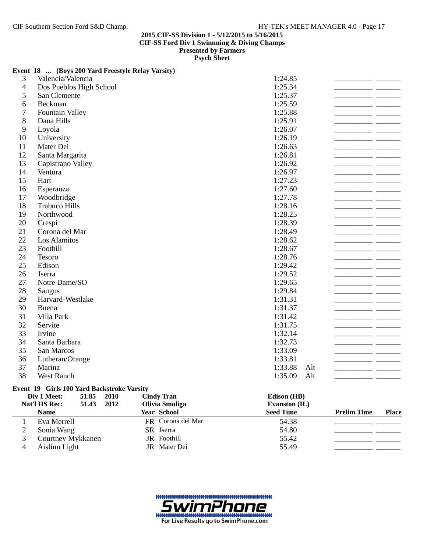## **Event 18 ... (Boys 200 Yard Freestyle Relay Varsity)**

|                | <b>Cindy Tran</b><br>Div 1 Meet:<br>51.85<br>2010 | Edison (HB)    |  |
|----------------|---------------------------------------------------|----------------|--|
|                | Event 19 Girls 100 Yard Backstroke Varsity        |                |  |
| 38             | <b>West Ranch</b>                                 | 1:35.09<br>Alt |  |
| 37             | Marina                                            | 1:33.88<br>Alt |  |
| 36             | Lutheran/Orange                                   | 1:33.81        |  |
| 35             | San Marcos                                        | 1:33.09        |  |
| 34             | Santa Barbara                                     | 1:32.73        |  |
| 33             | Irvine                                            | 1:32.14        |  |
| 32             | Servite                                           | 1:31.75        |  |
| 31             | Villa Park                                        | 1:31.42        |  |
| 30             | Buena                                             | 1:31.37        |  |
| 29             | Harvard-Westlake                                  | 1:31.31        |  |
| 28             | Saugus                                            | 1:29.84        |  |
| 27             | Notre Dame/SO                                     | 1:29.65        |  |
| 26             | Jserra                                            | 1:29.52        |  |
| 25             | Edison                                            | 1:29.42        |  |
| 24             | Tesoro                                            | 1:28.76        |  |
| 23             | Foothill                                          | 1:28.67        |  |
| 22             | Los Alamitos                                      | 1:28.62        |  |
| 21             | Corona del Mar                                    | 1:28.49        |  |
| 20             | Crespi                                            | 1:28.39        |  |
| 19             | Northwood                                         | 1:28.25        |  |
| 18             | <b>Trabuco Hills</b>                              | 1:28.16        |  |
| 17             | Woodbridge                                        | 1:27.78        |  |
| 16             | Esperanza                                         | 1:27.60        |  |
| 15             | Hart                                              | 1:27.23        |  |
| 14             | Ventura                                           | 1:26.97        |  |
| 13             | Capistrano Valley                                 | 1:26.92        |  |
| 12             | Santa Margarita                                   | 1:26.81        |  |
| 11             | Mater Dei                                         | 1:26.63        |  |
| 10             | University                                        | 1:26.19        |  |
| 9              | Loyola                                            | 1:26.07        |  |
| 8              | Dana Hills                                        | 1:25.91        |  |
| $\overline{7}$ | <b>Fountain Valley</b>                            | 1:25.88        |  |
| 6              | Beckman                                           | 1:25.59        |  |
| 5              | San Clemente                                      | 1:25.37        |  |
| $\overline{4}$ | Dos Pueblos High School                           | 1:25.34        |  |
| 3              | Valencia/Valencia                                 | 1:24.85        |  |

| <b>Nat'l HS Rec:</b><br>51.43 2012<br><b>Name</b> | Olivia Smoliga<br><b>Year School</b> | Evanston $(IL)$<br><b>Seed Time</b> | <b>Prelim Time</b> | <b>Place</b> |
|---------------------------------------------------|--------------------------------------|-------------------------------------|--------------------|--------------|
| Eva Merrell                                       | FR Corona del Mar                    | 54.38                               |                    |              |
|                                                   |                                      |                                     |                    |              |
| Sonia Wang                                        | SR Jserra                            | 54.80                               |                    |              |
| Courtney Mykkanen                                 | <b>JR</b> Foothill                   | 55.42                               |                    |              |
| Aislinn Light                                     | JR Mater Dei                         | 55.49                               |                    |              |

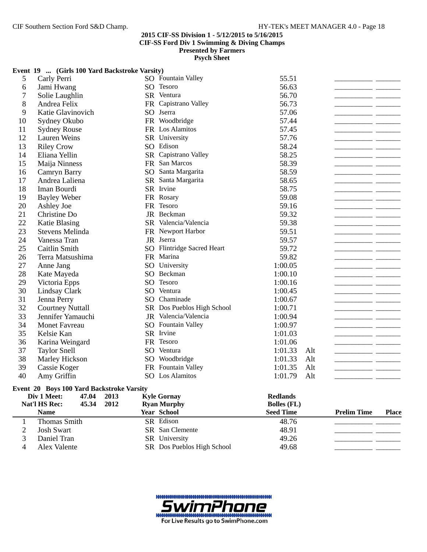**Psych Sheet**

|                | Event 19  (Girls 100 Yard Backstroke Varsity) |      |                            |                    |     |                    |              |
|----------------|-----------------------------------------------|------|----------------------------|--------------------|-----|--------------------|--------------|
| 5              | Carly Perri                                   |      | SO Fountain Valley         | 55.51              |     |                    |              |
| 6              | Jami Hwang                                    | SO.  | Tesoro                     | 56.63              |     |                    |              |
| 7              | Solie Laughlin                                |      | SR Ventura                 | 56.70              |     |                    |              |
| 8              | Andrea Felix                                  |      | FR Capistrano Valley       | 56.73              |     |                    |              |
| 9              | Katie Glavinovich                             | SO   | Jserra                     | 57.06              |     |                    |              |
| 10             | Sydney Okubo                                  |      | FR Woodbridge              | 57.44              |     |                    |              |
| 11             | <b>Sydney Rouse</b>                           |      | FR Los Alamitos            | 57.45              |     |                    |              |
| 12             | <b>Lauren Weins</b>                           |      | SR University              | 57.76              |     |                    |              |
| 13             | <b>Riley Crow</b>                             |      | SO Edison                  | 58.24              |     |                    |              |
| 14             | Eliana Yellin                                 |      | SR Capistrano Valley       | 58.25              |     |                    |              |
| 15             | Maija Ninness                                 |      | FR San Marcos              | 58.39              |     |                    |              |
| 16             | Camryn Barry                                  | SO   | Santa Margarita            | 58.59              |     |                    |              |
| 17             | Andrea Laliena                                |      | SR Santa Margarita         | 58.65              |     |                    |              |
| 18             | Iman Bourdi                                   |      | SR Irvine                  | 58.75              |     |                    |              |
| 19             | <b>Bayley Weber</b>                           |      | FR Rosary                  | 59.08              |     |                    |              |
| 20             | Ashley Joe                                    |      | FR Tesoro                  | 59.16              |     |                    |              |
| 21             | Christine Do                                  |      | JR Beckman                 | 59.32              |     |                    |              |
| 22             | Katie Blasing                                 |      | SR Valencia/Valencia       | 59.38              |     |                    |              |
| 23             | <b>Stevens Melinda</b>                        |      | FR Newport Harbor          | 59.51              |     |                    |              |
| 24             | Vanessa Tran                                  |      | JR Jserra                  | 59.57              |     |                    |              |
| 25             | Caitlin Smith                                 |      | SO Flintridge Sacred Heart | 59.72              |     |                    |              |
| 26             | Terra Matsushima                              |      | FR Marina                  | 59.82              |     |                    |              |
| 27             | Anne Jang                                     |      | SO University              | 1:00.05            |     |                    |              |
| 28             | Kate Mayeda                                   |      | SO Beckman                 | 1:00.10            |     |                    |              |
| 29             | Victoria Epps                                 | SO   | Tesoro                     | 1:00.16            |     |                    |              |
| 30             | Lindsay Clark                                 |      | SO Ventura                 | 1:00.45            |     |                    |              |
| 31             | Jenna Perry                                   |      | SO Chaminade               | 1:00.67            |     |                    |              |
| 32             | <b>Courtney Nuttall</b>                       |      | SR Dos Pueblos High School | 1:00.71            |     |                    |              |
| 33             | Jennifer Yamauchi                             |      | JR Valencia/Valencia       | 1:00.94            |     |                    |              |
| 34             | <b>Monet Favreau</b>                          | SO   | <b>Fountain Valley</b>     | 1:00.97            |     |                    |              |
| 35             | Kelsie Kan                                    |      | SR Irvine                  | 1:01.03            |     |                    |              |
| 36             | Karina Weingard                               |      | FR Tesoro                  | 1:01.06            |     |                    |              |
| 37             | <b>Taylor Snell</b>                           |      | SO Ventura                 | 1:01.33            | Alt |                    |              |
| 38             | Marley Hickson                                |      | SO Woodbridge              | 1:01.33            | Alt |                    |              |
| 39             | Cassie Koger                                  |      | FR Fountain Valley         | 1:01.35            | Alt |                    |              |
| 40             | Amy Griffin                                   |      | SO Los Alamitos            | 1:01.79            | Alt |                    |              |
|                | Event 20 Boys 100 Yard Backstroke Varsity     |      |                            |                    |     |                    |              |
|                | Div 1 Meet:<br>47.04                          | 2013 | <b>Kyle Gornay</b>         | <b>Redlands</b>    |     |                    |              |
|                | Nat'l HS Rec:<br>45.34                        | 2012 | <b>Ryan Murphy</b>         | <b>Bolles</b> (FL) |     |                    |              |
|                | <b>Name</b>                                   |      | Year School                | <b>Seed Time</b>   |     | <b>Prelim Time</b> | <b>Place</b> |
| 1              | <b>Thomas Smith</b>                           |      | SR Edison                  | 48.76              |     |                    |              |
| $\mathfrak{2}$ | <b>Josh Swart</b>                             |      | SR San Clemente            | 48.91              |     |                    |              |
| 3              | Daniel Tran                                   |      | SR University              | 49.26              |     |                    |              |
| 4              | Alex Valente                                  |      | SR Dos Pueblos High School | 49.68              |     |                    |              |

ne For Live Results go to SwimPhone.com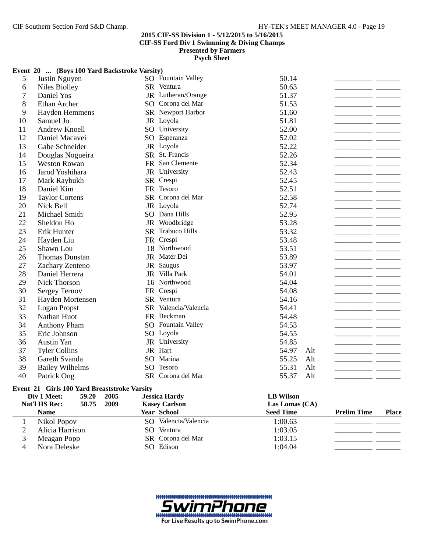## **2015 CIF-SS Division 1 - 5/12/2015 to 5/16/2015 CIF-SS Ford Div 1 Swimming & Diving Champs**

**Presented by Farmers**

**Psych Sheet**

|                | Event 20  (Boys 100 Yard Backstroke Varsity)        |      |                      |                  |     |                    |              |
|----------------|-----------------------------------------------------|------|----------------------|------------------|-----|--------------------|--------------|
| 5              | Justin Nguyen                                       |      | SO Fountain Valley   | 50.14            |     |                    |              |
| 6              | <b>Niles Biolley</b>                                |      | SR Ventura           | 50.63            |     |                    |              |
| 7              | Daniel Yos                                          |      | JR Lutheran/Orange   | 51.37            |     |                    |              |
| 8              | Ethan Archer                                        |      | SO Corona del Mar    | 51.53            |     |                    |              |
| 9              | Hayden Hemmens                                      |      | SR Newport Harbor    | 51.60            |     |                    |              |
| 10             | Samuel Jo                                           |      | JR Loyola            | 51.81            |     |                    |              |
| 11             | Andrew Knoell                                       |      | SO University        | 52.00            |     |                    |              |
| 12             | Daniel Macavei                                      |      | SO Esperanza         | 52.02            |     |                    |              |
| 13             | Gabe Schneider                                      |      | JR Loyola            | 52.22            |     |                    |              |
| 14             | Douglas Nogueira                                    |      | SR St. Francis       | 52.26            |     |                    |              |
| 15             | <b>Weston Rowan</b>                                 |      | FR San Clemente      | 52.34            |     |                    |              |
| 16             | Jarod Yoshihara                                     |      | JR University        | 52.43            |     |                    |              |
| 17             | Mark Raybukh                                        |      | SR Crespi            | 52.45            |     |                    |              |
| 18             | Daniel Kim                                          |      | FR Tesoro            | 52.51            |     |                    |              |
| 19             | <b>Taylor Cortens</b>                               |      | SR Corona del Mar    | 52.58            |     |                    |              |
| 20             | Nick Bell                                           |      | JR Loyola            | 52.74            |     |                    |              |
| 21             | Michael Smith                                       |      | SO Dana Hills        | 52.95            |     |                    |              |
| 22             | Sheldon Ho                                          |      | JR Woodbridge        | 53.28            |     |                    |              |
| 23             | Erik Hunter                                         |      | SR Trabuco Hills     | 53.32            |     |                    |              |
| 24             | Hayden Liu                                          |      | FR Crespi            | 53.48            |     |                    |              |
| 25             | Shawn Lou                                           |      | 18 Northwood         | 53.51            |     |                    |              |
| 26             | <b>Thomas Dunstan</b>                               |      | JR Mater Dei         | 53.89            |     |                    |              |
| 27             | Zachary Zenteno                                     |      | JR Saugus            | 53.97            |     |                    |              |
| 28             | Daniel Herrera                                      |      | JR Villa Park        | 54.01            |     |                    |              |
| 29             | <b>Nick Thorson</b>                                 |      | 16 Northwood         | 54.04            |     |                    |              |
| 30             | <b>Sergey Ternov</b>                                |      | FR Crespi            | 54.08            |     |                    |              |
| 31             | Hayden Mortensen                                    |      | SR Ventura           | 54.16            |     |                    |              |
| 32             | Logan Propst                                        |      | SR Valencia/Valencia | 54.41            |     |                    |              |
| 33             | Nathan Huot                                         |      | FR Beckman           | 54.48            |     |                    |              |
| 34             | <b>Anthony Pham</b>                                 |      | SO Fountain Valley   | 54.53            |     |                    |              |
| 35             | Eric Johnson                                        |      | SO Loyola            | 54.55            |     |                    |              |
| 36             | <b>Austin Yan</b>                                   |      | JR University        | 54.85            |     |                    |              |
| 37             | <b>Tyler Collins</b>                                |      | JR Hart              | 54.97            | Alt |                    |              |
| 38             | Gareth Svanda                                       | SO   | Marina               | 55.25            | Alt |                    |              |
| 39             | <b>Bailey Wilhelms</b>                              | SO   | Tesoro               | 55.31            | Alt |                    |              |
| 40             | Patrick Ong                                         |      | SR Corona del Mar    | 55.37            | Alt |                    |              |
|                | <b>Event 21 Girls 100 Yard Breaststroke Varsity</b> |      |                      |                  |     |                    |              |
|                | Div 1 Meet:<br>59.20                                | 2005 | <b>Jessica Hardy</b> | <b>LB Wilson</b> |     |                    |              |
|                | Nat'l HS Rec:<br>58.75                              | 2009 | <b>Kasey Carlson</b> | Las Lomas (CA)   |     |                    |              |
|                | <b>Name</b>                                         |      | Year School          | <b>Seed Time</b> |     | <b>Prelim Time</b> | <b>Place</b> |
| 1              | Nikol Popov                                         |      | SO Valencia/Valencia | 1:00.63          |     |                    |              |
| $\mathfrak{2}$ | Alicia Harrison                                     |      | SO Ventura           | 1:03.05          |     |                    |              |
| 3              | Meagan Popp                                         |      | SR Corona del Mar    | 1:03.15          |     |                    |              |
| 4              | Nora Deleske                                        |      | SO Edison            | 1:04.04          |     |                    |              |

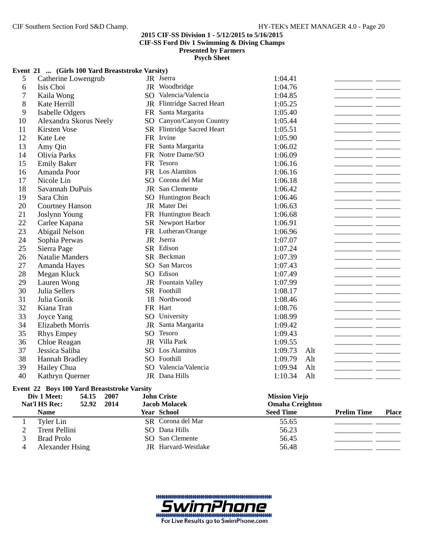**Psych Sheet**

## **Event 21 ... (Girls 100 Yard Breaststroke Varsity)**

|                | Div 1 Meet:<br>54.15<br>2007                       |    | <b>John Criste</b>         | <b>Mission Viejo</b> |     |  |
|----------------|----------------------------------------------------|----|----------------------------|----------------------|-----|--|
|                | <b>Event 22 Boys 100 Yard Breaststroke Varsity</b> |    |                            |                      |     |  |
|                |                                                    |    |                            |                      |     |  |
| 40             | Kathryn Querner                                    |    | JR Dana Hills              | 1:10.34              | Alt |  |
| 39             | <b>Hannah Bradley</b><br>Hailey Chua               |    | SO Valencia/Valencia       | 1:09.94              | Alt |  |
| 38             |                                                    |    | SO Foothill                | 1:09.79              | Alt |  |
| 36<br>37       | Chloe Reagan<br>Jessica Saliba                     |    | SO Los Alamitos            | 1:09.55<br>1:09.73   | Alt |  |
| 35             | <b>Rhys Empey</b>                                  | SO | Tesoro<br>JR Villa Park    | 1:09.43              |     |  |
| 34             | <b>Elizabeth Morris</b>                            |    | JR Santa Margarita         | 1:09.42              |     |  |
| 33             | Joyce Yang                                         |    | SO University              | 1:08.99              |     |  |
| 32             | Kiana Tran                                         |    | FR Hart                    | 1:08.76              |     |  |
| 31             | Julia Gonik                                        |    | 18 Northwood               | 1:08.46              |     |  |
| 30             | Julia Sellers                                      |    | SR Foothill                | 1:08.17              |     |  |
| 29             | Lauren Wong                                        |    | JR Fountain Valley         | 1:07.99              |     |  |
| 28             | Megan Kluck                                        |    | SO Edison                  | 1:07.49              |     |  |
| 27             | Amanda Hayes                                       |    | SO San Marcos              | 1:07.43              |     |  |
| 26             | <b>Natalie Manders</b>                             |    | SR Beckman                 | 1:07.39              |     |  |
| 25             | Sierra Page                                        |    | SR Edison                  | 1:07.24              |     |  |
| 24             | Sophia Perwas                                      |    | JR Jserra                  | 1:07.07              |     |  |
| 23             | Abigail Nelson                                     |    | FR Lutheran/Orange         | 1:06.96              |     |  |
| 22             | Carlee Kapana                                      |    | SR Newport Harbor          | 1:06.91              |     |  |
| 21             | Joslynn Young                                      |    | FR Huntington Beach        | 1:06.68              |     |  |
| 20             | <b>Courtney Hanson</b>                             |    | JR Mater Dei               | 1:06.63              |     |  |
| 19             | Sara Chin                                          |    | <b>SO</b> Huntington Beach | 1:06.46              |     |  |
| 18             | Savannah DuPuis                                    |    | JR San Clemente            | 1:06.42              |     |  |
| 17             | Nicole Lin                                         |    | SO Corona del Mar          | 1:06.18              |     |  |
| 16             | Amanda Poor                                        |    | FR Los Alamitos            | 1:06.16              |     |  |
| 15             | <b>Emily Baker</b>                                 |    | FR Tesoro                  | 1:06.16              |     |  |
| 14             | Olivia Parks                                       |    | FR Notre Dame/SO           | 1:06.09              |     |  |
| 13             | Amy Qin                                            |    | FR Santa Margarita         | 1:06.02              |     |  |
| 12             | Kate Lee                                           |    | FR Irvine                  | 1:05.90              |     |  |
| 11             | Kirsten Vose                                       |    | SR Flintridge Sacred Heart | 1:05.51              |     |  |
| 10             | Alexandra Skorus Neely                             |    | SO Canyon/Canyon Country   | 1:05.44              |     |  |
| 9              | <b>Isabelle Odgers</b>                             |    | FR Santa Margarita         | 1:05.40              |     |  |
| 8              | Kate Herrill                                       |    | JR Flintridge Sacred Heart | 1:05.25              |     |  |
| $\overline{7}$ | Kaila Wong                                         |    | SO Valencia/Valencia       | 1:04.85              |     |  |
| 6              | Isis Choi                                          |    | JR Woodbridge              | 1:04.76              |     |  |
| 5              | Catherine Lowengrub                                |    | JR Jserra                  | 1:04.41              |     |  |

| <b>Nat'l HS Rec:</b> | 52.92 2014 | <b>Jacob Molacek</b> | <b>Omaha Creighton</b> |                    |              |
|----------------------|------------|----------------------|------------------------|--------------------|--------------|
| <b>Name</b>          |            | <b>Year School</b>   | <b>Seed Time</b>       | <b>Prelim Time</b> | <b>Place</b> |
| Tyler Lin            |            | SR Corona del Mar    | 55.65                  |                    |              |
| Trent Pellini        |            | SO Dana Hills        | 56.23                  |                    |              |
| Brad Prolo           |            | SO San Clemente      | 56.45                  |                    |              |
| Alexander Hsing      |            | JR Harvard-Westlake  | 56.48                  |                    |              |

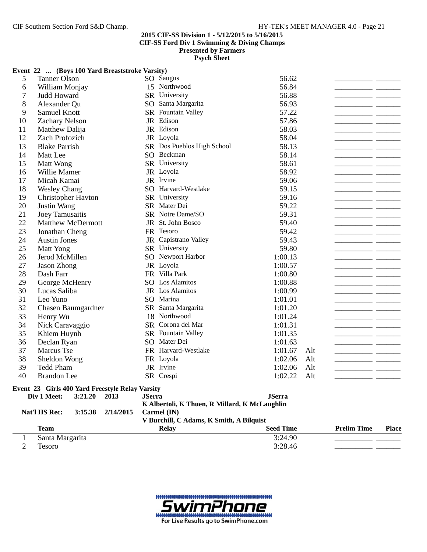## **2015 CIF-SS Division 1 - 5/12/2015 to 5/16/2015**

**CIF-SS Ford Div 1 Swimming & Diving Champs**

**Presented by Farmers**

**Psych Sheet**

|                | Event 22  (Boys 100 Yard Breaststroke Varsity)  |           |               |                                               |                  |     |                    |              |
|----------------|-------------------------------------------------|-----------|---------------|-----------------------------------------------|------------------|-----|--------------------|--------------|
| 5              | <b>Tanner Olson</b>                             |           |               | SO Saugus                                     | 56.62            |     |                    |              |
| 6              | William Monjay                                  |           |               | 15 Northwood                                  | 56.84            |     |                    |              |
| 7              | Judd Howard                                     |           |               | SR University                                 | 56.88            |     |                    |              |
| 8              | Alexander Qu                                    |           |               | SO Santa Margarita                            | 56.93            |     |                    |              |
| 9              | Samuel Knott                                    |           |               | SR Fountain Valley                            | 57.22            |     |                    |              |
| 10             | <b>Zachary Nelson</b>                           |           |               | JR Edison                                     | 57.86            |     |                    |              |
| 11             | Matthew Dalija                                  |           |               | JR Edison                                     | 58.03            |     |                    |              |
| 12             | Zach Profozich                                  |           |               | JR Loyola                                     | 58.04            |     |                    |              |
| 13             | <b>Blake Parrish</b>                            |           |               | SR Dos Pueblos High School                    | 58.13            |     |                    |              |
| 14             | Matt Lee                                        |           |               | SO Beckman                                    | 58.14            |     |                    |              |
| 15             | Matt Wong                                       |           |               | SR University                                 | 58.61            |     |                    |              |
| 16             | Willie Mamer                                    |           |               | JR Loyola                                     | 58.92            |     |                    |              |
| 17             | Micah Kamai                                     |           |               | JR Irvine                                     | 59.06            |     |                    |              |
| 18             | <b>Wesley Chang</b>                             |           |               | SO Harvard-Westlake                           | 59.15            |     |                    |              |
| 19             | Christopher Havton                              |           |               | SR University                                 | 59.16            |     |                    |              |
| 20             | Justin Wang                                     |           |               | SR Mater Dei                                  | 59.22            |     |                    |              |
| 21             | Joey Tamusaitis                                 |           |               | SR Notre Dame/SO                              | 59.31            |     |                    |              |
| 22             | <b>Matthew McDermott</b>                        |           |               | JR St. John Bosco                             | 59.40            |     |                    |              |
| 23             | Jonathan Cheng                                  |           |               | FR Tesoro                                     | 59.42            |     |                    |              |
| 24             | <b>Austin Jones</b>                             |           |               | JR Capistrano Valley                          | 59.43            |     |                    |              |
| 25             | Matt Yong                                       |           |               | SR University                                 | 59.80            |     |                    |              |
| 26             | Jerod McMillen                                  |           |               | SO Newport Harbor                             | 1:00.13          |     |                    |              |
| 27             | Jason Zhong                                     |           |               | JR Loyola                                     | 1:00.57          |     |                    |              |
| 28             | Dash Farr                                       |           |               | FR Villa Park                                 | 1:00.80          |     |                    |              |
| 29             | George McHenry                                  |           |               | SO Los Alamitos                               | 1:00.88          |     |                    |              |
| 30             | Lucas Saliba                                    |           |               | JR Los Alamitos                               | 1:00.99          |     |                    |              |
| 31             | Leo Yuno                                        |           |               | SO Marina                                     | 1:01.01          |     |                    |              |
| 32             | Chasen Baumgardner                              |           |               | SR Santa Margarita                            | 1:01.20          |     |                    |              |
| 33             | Henry Wu                                        |           |               | 18 Northwood                                  | 1:01.24          |     |                    |              |
| 34             | Nick Caravaggio                                 |           |               | SR Corona del Mar                             | 1:01.31          |     |                    |              |
| 35             | Khiem Huynh                                     |           |               | SR Fountain Valley                            | 1:01.35          |     |                    |              |
| 36             | Declan Ryan                                     |           |               | SO Mater Dei                                  | 1:01.63          |     |                    |              |
| 37             | Marcus Tse                                      |           |               | FR Harvard-Westlake                           | 1:01.67          | Alt |                    |              |
| 38             | Sheldon Wong                                    |           |               | FR Loyola                                     | 1:02.06          | Alt |                    |              |
| 39             | <b>Tedd Pham</b>                                |           |               | JR Irvine                                     | 1:02.06          | Alt |                    |              |
| 40             | <b>Brandon</b> Lee                              |           |               | SR Crespi                                     | 1:02.22          | Alt |                    |              |
|                | Event 23 Girls 400 Yard Freestyle Relay Varsity |           |               |                                               |                  |     |                    |              |
|                | Div 1 Meet:<br>3:21.20                          | 2013      | <b>JSerra</b> |                                               | <b>JSerra</b>    |     |                    |              |
|                |                                                 |           |               | K Albertoli, K Thuen, R Millard, K McLaughlin |                  |     |                    |              |
|                | Nat'l HS Rec:<br>3:15.38                        | 2/14/2015 |               | Carmel (IN)                                   |                  |     |                    |              |
|                |                                                 |           |               | V Burchill, C Adams, K Smith, A Bilquist      |                  |     |                    |              |
|                | <b>Team</b>                                     |           |               | <b>Relay</b>                                  | <b>Seed Time</b> |     | <b>Prelim Time</b> | <b>Place</b> |
| 1              | Santa Margarita                                 |           |               |                                               | 3:24.90          |     |                    |              |
| $\overline{2}$ | Tesoro                                          |           |               |                                               | 3:28.46          |     |                    |              |

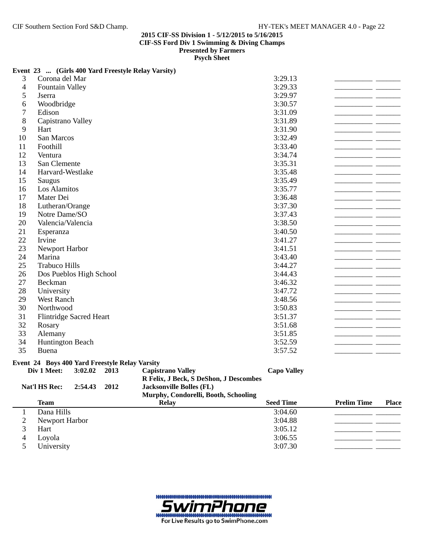## **Event 23 ... (Girls 400 Yard Freestyle Relay Varsity)**

| $\overline{\mathcal{A}}$<br>3:29.33<br><b>Fountain Valley</b><br>5<br>3:29.97<br>Jserra<br>6<br>3:30.57<br>Woodbridge<br>$\tau$<br>3:31.09<br>Edison<br>8<br>Capistrano Valley<br>3:31.89<br>9<br>Hart<br>3:31.90<br>10<br>San Marcos<br>3:32.49<br>Foothill<br>3:33.40<br>11<br>12<br>Ventura<br>3:34.74<br>13<br>San Clemente<br>3:35.31<br>14<br>3:35.48<br>Harvard-Westlake<br>15<br>3:35.49<br>Saugus<br>16<br>Los Alamitos<br>3:35.77<br>17<br>Mater Dei<br>3:36.48<br>18<br>Lutheran/Orange<br>3:37.30<br>19<br>Notre Dame/SO<br>3:37.43<br>20<br>Valencia/Valencia<br>3:38.50<br>21<br>3:40.50<br>Esperanza<br>22<br>Irvine<br>3:41.27<br>23<br>Newport Harbor<br>3:41.51<br>24<br>3:43.40<br>Marina<br>25<br><b>Trabuco Hills</b><br>3:44.27<br>26<br>Dos Pueblos High School<br>3:44.43<br>27<br>Beckman<br>3:46.32<br>28<br>3:47.72<br>University<br>29<br>West Ranch<br>3:48.56<br>30<br>3:50.83<br>Northwood<br>31<br>3:51.37<br><b>Flintridge Sacred Heart</b><br>32<br>3:51.68<br>Rosary<br>33<br>3:51.85<br>Alemany<br>34<br>3:52.59<br><b>Huntington Beach</b><br>35<br>3:57.52<br>Buena<br>Event 24 Boys 400 Yard Freestyle Relay Varsity<br>Div 1 Meet:<br>3:02.02<br>2013<br><b>Capistrano Valley</b><br><b>Capo Valley</b><br>R Felix, J Beck, S DeShon, J Descombes<br>Nat'l HS Rec:<br>2:54.43<br>2012<br><b>Jacksonville Bolles (FL)</b><br>Murphy, Condorelli, Booth, Schooling<br><b>Seed Time</b><br><b>Prelim Time</b><br><b>Team</b><br><b>Relay</b><br><b>Place</b><br>Dana Hills<br>3:04.60<br>$\mathbf{1}$<br>$\overline{c}$<br>Newport Harbor<br>3:04.88<br>3<br>3:05.12<br>Hart<br>3:06.55<br>4<br>Loyola<br>3:07.30<br>5<br>University | 3 | Corona del Mar | 3:29.13 |  |
|---------------------------------------------------------------------------------------------------------------------------------------------------------------------------------------------------------------------------------------------------------------------------------------------------------------------------------------------------------------------------------------------------------------------------------------------------------------------------------------------------------------------------------------------------------------------------------------------------------------------------------------------------------------------------------------------------------------------------------------------------------------------------------------------------------------------------------------------------------------------------------------------------------------------------------------------------------------------------------------------------------------------------------------------------------------------------------------------------------------------------------------------------------------------------------------------------------------------------------------------------------------------------------------------------------------------------------------------------------------------------------------------------------------------------------------------------------------------------------------------------------------------------------------------------------------------------------------------------------------------------------------------------------------------------|---|----------------|---------|--|
|                                                                                                                                                                                                                                                                                                                                                                                                                                                                                                                                                                                                                                                                                                                                                                                                                                                                                                                                                                                                                                                                                                                                                                                                                                                                                                                                                                                                                                                                                                                                                                                                                                                                           |   |                |         |  |
|                                                                                                                                                                                                                                                                                                                                                                                                                                                                                                                                                                                                                                                                                                                                                                                                                                                                                                                                                                                                                                                                                                                                                                                                                                                                                                                                                                                                                                                                                                                                                                                                                                                                           |   |                |         |  |
|                                                                                                                                                                                                                                                                                                                                                                                                                                                                                                                                                                                                                                                                                                                                                                                                                                                                                                                                                                                                                                                                                                                                                                                                                                                                                                                                                                                                                                                                                                                                                                                                                                                                           |   |                |         |  |
|                                                                                                                                                                                                                                                                                                                                                                                                                                                                                                                                                                                                                                                                                                                                                                                                                                                                                                                                                                                                                                                                                                                                                                                                                                                                                                                                                                                                                                                                                                                                                                                                                                                                           |   |                |         |  |
|                                                                                                                                                                                                                                                                                                                                                                                                                                                                                                                                                                                                                                                                                                                                                                                                                                                                                                                                                                                                                                                                                                                                                                                                                                                                                                                                                                                                                                                                                                                                                                                                                                                                           |   |                |         |  |
|                                                                                                                                                                                                                                                                                                                                                                                                                                                                                                                                                                                                                                                                                                                                                                                                                                                                                                                                                                                                                                                                                                                                                                                                                                                                                                                                                                                                                                                                                                                                                                                                                                                                           |   |                |         |  |
|                                                                                                                                                                                                                                                                                                                                                                                                                                                                                                                                                                                                                                                                                                                                                                                                                                                                                                                                                                                                                                                                                                                                                                                                                                                                                                                                                                                                                                                                                                                                                                                                                                                                           |   |                |         |  |
|                                                                                                                                                                                                                                                                                                                                                                                                                                                                                                                                                                                                                                                                                                                                                                                                                                                                                                                                                                                                                                                                                                                                                                                                                                                                                                                                                                                                                                                                                                                                                                                                                                                                           |   |                |         |  |
|                                                                                                                                                                                                                                                                                                                                                                                                                                                                                                                                                                                                                                                                                                                                                                                                                                                                                                                                                                                                                                                                                                                                                                                                                                                                                                                                                                                                                                                                                                                                                                                                                                                                           |   |                |         |  |
|                                                                                                                                                                                                                                                                                                                                                                                                                                                                                                                                                                                                                                                                                                                                                                                                                                                                                                                                                                                                                                                                                                                                                                                                                                                                                                                                                                                                                                                                                                                                                                                                                                                                           |   |                |         |  |
|                                                                                                                                                                                                                                                                                                                                                                                                                                                                                                                                                                                                                                                                                                                                                                                                                                                                                                                                                                                                                                                                                                                                                                                                                                                                                                                                                                                                                                                                                                                                                                                                                                                                           |   |                |         |  |
|                                                                                                                                                                                                                                                                                                                                                                                                                                                                                                                                                                                                                                                                                                                                                                                                                                                                                                                                                                                                                                                                                                                                                                                                                                                                                                                                                                                                                                                                                                                                                                                                                                                                           |   |                |         |  |
|                                                                                                                                                                                                                                                                                                                                                                                                                                                                                                                                                                                                                                                                                                                                                                                                                                                                                                                                                                                                                                                                                                                                                                                                                                                                                                                                                                                                                                                                                                                                                                                                                                                                           |   |                |         |  |
|                                                                                                                                                                                                                                                                                                                                                                                                                                                                                                                                                                                                                                                                                                                                                                                                                                                                                                                                                                                                                                                                                                                                                                                                                                                                                                                                                                                                                                                                                                                                                                                                                                                                           |   |                |         |  |
|                                                                                                                                                                                                                                                                                                                                                                                                                                                                                                                                                                                                                                                                                                                                                                                                                                                                                                                                                                                                                                                                                                                                                                                                                                                                                                                                                                                                                                                                                                                                                                                                                                                                           |   |                |         |  |
|                                                                                                                                                                                                                                                                                                                                                                                                                                                                                                                                                                                                                                                                                                                                                                                                                                                                                                                                                                                                                                                                                                                                                                                                                                                                                                                                                                                                                                                                                                                                                                                                                                                                           |   |                |         |  |
|                                                                                                                                                                                                                                                                                                                                                                                                                                                                                                                                                                                                                                                                                                                                                                                                                                                                                                                                                                                                                                                                                                                                                                                                                                                                                                                                                                                                                                                                                                                                                                                                                                                                           |   |                |         |  |
|                                                                                                                                                                                                                                                                                                                                                                                                                                                                                                                                                                                                                                                                                                                                                                                                                                                                                                                                                                                                                                                                                                                                                                                                                                                                                                                                                                                                                                                                                                                                                                                                                                                                           |   |                |         |  |
|                                                                                                                                                                                                                                                                                                                                                                                                                                                                                                                                                                                                                                                                                                                                                                                                                                                                                                                                                                                                                                                                                                                                                                                                                                                                                                                                                                                                                                                                                                                                                                                                                                                                           |   |                |         |  |
|                                                                                                                                                                                                                                                                                                                                                                                                                                                                                                                                                                                                                                                                                                                                                                                                                                                                                                                                                                                                                                                                                                                                                                                                                                                                                                                                                                                                                                                                                                                                                                                                                                                                           |   |                |         |  |
|                                                                                                                                                                                                                                                                                                                                                                                                                                                                                                                                                                                                                                                                                                                                                                                                                                                                                                                                                                                                                                                                                                                                                                                                                                                                                                                                                                                                                                                                                                                                                                                                                                                                           |   |                |         |  |
|                                                                                                                                                                                                                                                                                                                                                                                                                                                                                                                                                                                                                                                                                                                                                                                                                                                                                                                                                                                                                                                                                                                                                                                                                                                                                                                                                                                                                                                                                                                                                                                                                                                                           |   |                |         |  |
|                                                                                                                                                                                                                                                                                                                                                                                                                                                                                                                                                                                                                                                                                                                                                                                                                                                                                                                                                                                                                                                                                                                                                                                                                                                                                                                                                                                                                                                                                                                                                                                                                                                                           |   |                |         |  |
|                                                                                                                                                                                                                                                                                                                                                                                                                                                                                                                                                                                                                                                                                                                                                                                                                                                                                                                                                                                                                                                                                                                                                                                                                                                                                                                                                                                                                                                                                                                                                                                                                                                                           |   |                |         |  |
|                                                                                                                                                                                                                                                                                                                                                                                                                                                                                                                                                                                                                                                                                                                                                                                                                                                                                                                                                                                                                                                                                                                                                                                                                                                                                                                                                                                                                                                                                                                                                                                                                                                                           |   |                |         |  |
|                                                                                                                                                                                                                                                                                                                                                                                                                                                                                                                                                                                                                                                                                                                                                                                                                                                                                                                                                                                                                                                                                                                                                                                                                                                                                                                                                                                                                                                                                                                                                                                                                                                                           |   |                |         |  |
|                                                                                                                                                                                                                                                                                                                                                                                                                                                                                                                                                                                                                                                                                                                                                                                                                                                                                                                                                                                                                                                                                                                                                                                                                                                                                                                                                                                                                                                                                                                                                                                                                                                                           |   |                |         |  |
|                                                                                                                                                                                                                                                                                                                                                                                                                                                                                                                                                                                                                                                                                                                                                                                                                                                                                                                                                                                                                                                                                                                                                                                                                                                                                                                                                                                                                                                                                                                                                                                                                                                                           |   |                |         |  |
|                                                                                                                                                                                                                                                                                                                                                                                                                                                                                                                                                                                                                                                                                                                                                                                                                                                                                                                                                                                                                                                                                                                                                                                                                                                                                                                                                                                                                                                                                                                                                                                                                                                                           |   |                |         |  |
|                                                                                                                                                                                                                                                                                                                                                                                                                                                                                                                                                                                                                                                                                                                                                                                                                                                                                                                                                                                                                                                                                                                                                                                                                                                                                                                                                                                                                                                                                                                                                                                                                                                                           |   |                |         |  |
|                                                                                                                                                                                                                                                                                                                                                                                                                                                                                                                                                                                                                                                                                                                                                                                                                                                                                                                                                                                                                                                                                                                                                                                                                                                                                                                                                                                                                                                                                                                                                                                                                                                                           |   |                |         |  |
|                                                                                                                                                                                                                                                                                                                                                                                                                                                                                                                                                                                                                                                                                                                                                                                                                                                                                                                                                                                                                                                                                                                                                                                                                                                                                                                                                                                                                                                                                                                                                                                                                                                                           |   |                |         |  |
|                                                                                                                                                                                                                                                                                                                                                                                                                                                                                                                                                                                                                                                                                                                                                                                                                                                                                                                                                                                                                                                                                                                                                                                                                                                                                                                                                                                                                                                                                                                                                                                                                                                                           |   |                |         |  |
|                                                                                                                                                                                                                                                                                                                                                                                                                                                                                                                                                                                                                                                                                                                                                                                                                                                                                                                                                                                                                                                                                                                                                                                                                                                                                                                                                                                                                                                                                                                                                                                                                                                                           |   |                |         |  |
|                                                                                                                                                                                                                                                                                                                                                                                                                                                                                                                                                                                                                                                                                                                                                                                                                                                                                                                                                                                                                                                                                                                                                                                                                                                                                                                                                                                                                                                                                                                                                                                                                                                                           |   |                |         |  |
|                                                                                                                                                                                                                                                                                                                                                                                                                                                                                                                                                                                                                                                                                                                                                                                                                                                                                                                                                                                                                                                                                                                                                                                                                                                                                                                                                                                                                                                                                                                                                                                                                                                                           |   |                |         |  |
|                                                                                                                                                                                                                                                                                                                                                                                                                                                                                                                                                                                                                                                                                                                                                                                                                                                                                                                                                                                                                                                                                                                                                                                                                                                                                                                                                                                                                                                                                                                                                                                                                                                                           |   |                |         |  |
|                                                                                                                                                                                                                                                                                                                                                                                                                                                                                                                                                                                                                                                                                                                                                                                                                                                                                                                                                                                                                                                                                                                                                                                                                                                                                                                                                                                                                                                                                                                                                                                                                                                                           |   |                |         |  |
|                                                                                                                                                                                                                                                                                                                                                                                                                                                                                                                                                                                                                                                                                                                                                                                                                                                                                                                                                                                                                                                                                                                                                                                                                                                                                                                                                                                                                                                                                                                                                                                                                                                                           |   |                |         |  |
|                                                                                                                                                                                                                                                                                                                                                                                                                                                                                                                                                                                                                                                                                                                                                                                                                                                                                                                                                                                                                                                                                                                                                                                                                                                                                                                                                                                                                                                                                                                                                                                                                                                                           |   |                |         |  |
|                                                                                                                                                                                                                                                                                                                                                                                                                                                                                                                                                                                                                                                                                                                                                                                                                                                                                                                                                                                                                                                                                                                                                                                                                                                                                                                                                                                                                                                                                                                                                                                                                                                                           |   |                |         |  |
|                                                                                                                                                                                                                                                                                                                                                                                                                                                                                                                                                                                                                                                                                                                                                                                                                                                                                                                                                                                                                                                                                                                                                                                                                                                                                                                                                                                                                                                                                                                                                                                                                                                                           |   |                |         |  |
|                                                                                                                                                                                                                                                                                                                                                                                                                                                                                                                                                                                                                                                                                                                                                                                                                                                                                                                                                                                                                                                                                                                                                                                                                                                                                                                                                                                                                                                                                                                                                                                                                                                                           |   |                |         |  |